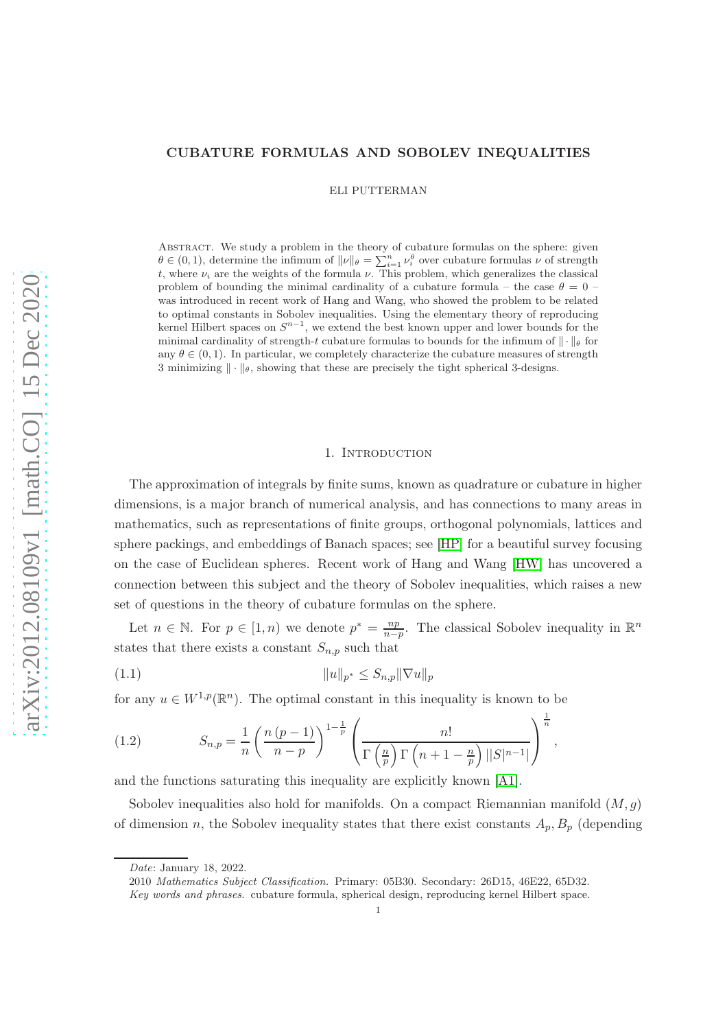### CUBATURE FORMULAS AND SOBOLEV INEQUALITIES

ELI PUTTERMAN

Abstract. We study a problem in the theory of cubature formulas on the sphere: given  $\theta \in (0,1)$ , determine the infimum of  $\|\nu\|_{\theta} = \sum_{i=1}^{n} \nu_i^{\theta}$  over cubature formulas  $\nu$  of strength t, where  $\nu_i$  are the weights of the formula  $\nu$ . This problem, which generalizes the classical problem of bounding the minimal cardinality of a cubature formula – the case  $\theta = 0$  – was introduced in recent work of Hang and Wang, who showed the problem to be related to optimal constants in Sobolev inequalities. Using the elementary theory of reproducing kernel Hilbert spaces on  $S^{n-1}$ , we extend the best known upper and lower bounds for the minimal cardinality of strength-t cubature formulas to bounds for the infimum of  $\|\cdot\|_{\theta}$  for any  $\theta \in (0, 1)$ . In particular, we completely characterize the cubature measures of strength 3 minimizing  $\|\cdot\|_{\theta}$ , showing that these are precisely the tight spherical 3-designs.

#### 1. INTRODUCTION

The approximation of integrals by finite sums, known as quadrature or cubature in higher dimensions, is a major branch of numerical analysis, and has connections to many areas in mathematics, such as representations of finite groups, orthogonal polynomials, lattices and sphere packings, and embeddings of Banach spaces; see [\[HP\]](#page-16-0) for a beautiful survey focusing on the case of Euclidean spheres. Recent work of Hang and Wang [\[HW\]](#page-16-1) has uncovered a connection between this subject and the theory of Sobolev inequalities, which raises a new set of questions in the theory of cubature formulas on the sphere.

Let  $n \in \mathbb{N}$ . For  $p \in [1, n)$  we denote  $p^* = \frac{np}{n-q}$  $\frac{np}{n-p}$ . The classical Sobolev inequality in  $\mathbb{R}^n$ states that there exists a constant  $S_{n,p}$  such that

(1.1) 
$$
||u||_{p^*} \leq S_{n,p} ||\nabla u||_p
$$

for any  $u \in W^{1,p}(\mathbb{R}^n)$ . The optimal constant in this inequality is known to be

<span id="page-0-0"></span>(1.2) 
$$
S_{n,p} = \frac{1}{n} \left( \frac{n (p-1)}{n-p} \right)^{1-\frac{1}{p}} \left( \frac{n!}{\Gamma\left(\frac{n}{p}\right) \Gamma\left(n+1-\frac{n}{p}\right) ||S|^{n-1}||} \right)^{\frac{1}{n}},
$$

and the functions saturating this inequality are explicitly known [\[A1\]](#page-16-2).

Sobolev inequalities also hold for manifolds. On a compact Riemannian manifold  $(M, g)$ of dimension n, the Sobolev inequality states that there exist constants  $A_p$ ,  $B_p$  (depending

2010 *Mathematics Subject Classification.* Primary: 05B30. Secondary: 26D15, 46E22, 65D32.

*Date*: January 18, 2022.

*Key words and phrases.* cubature formula, spherical design, reproducing kernel Hilbert space.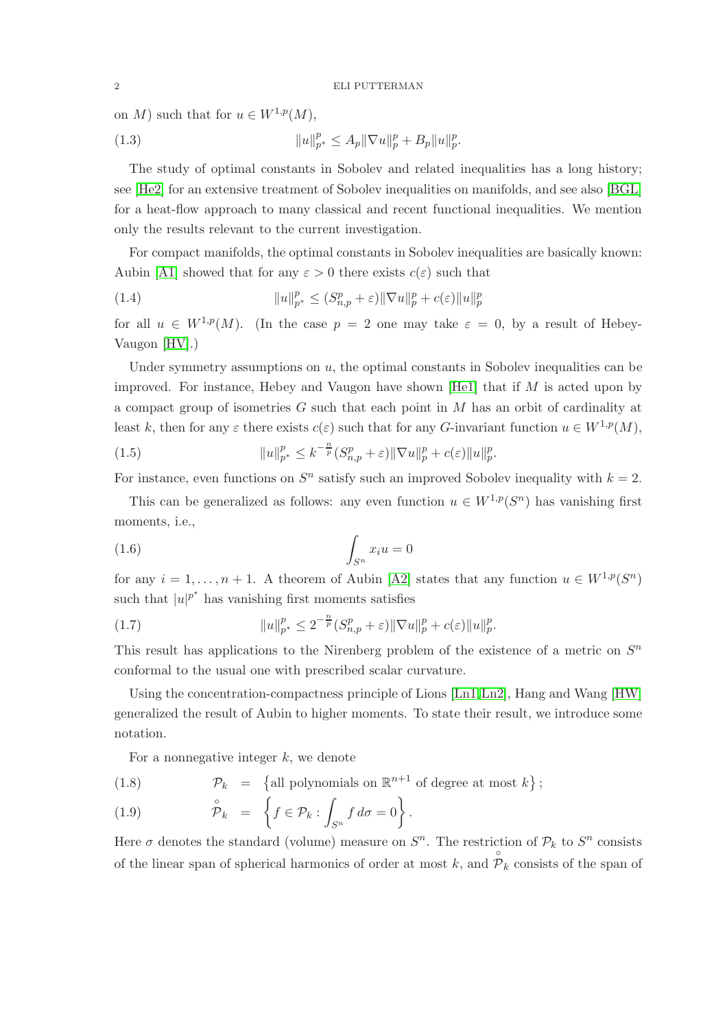on M) such that for  $u \in W^{1,p}(M)$ ,

(1.3) 
$$
||u||_{p^*}^p \le A_p ||\nabla u||_p^p + B_p ||u||_p^p.
$$

The study of optimal constants in Sobolev and related inequalities has a long history; see [\[He2\]](#page-16-3) for an extensive treatment of Sobolev inequalities on manifolds, and see also [\[BGL\]](#page-16-4) for a heat-flow approach to many classical and recent functional inequalities. We mention only the results relevant to the current investigation.

For compact manifolds, the optimal constants in Sobolev inequalities are basically known: Aubin [\[A1\]](#page-16-2) showed that for any  $\varepsilon > 0$  there exists  $c(\varepsilon)$  such that

(1.4) 
$$
||u||_{p^{*}}^{p} \leq (S_{n,p}^{p} + \varepsilon) ||\nabla u||_{p}^{p} + c(\varepsilon) ||u||_{p}^{p}
$$

for all  $u \in W^{1,p}(M)$ . (In the case  $p = 2$  one may take  $\varepsilon = 0$ , by a result of Hebey-Vaugon [\[HV\]](#page-16-5).)

Under symmetry assumptions on u, the optimal constants in Sobolev inequalities can be improved. For instance, Hebey and Vaugon have shown  $[He1]$  that if M is acted upon by a compact group of isometries  $G$  such that each point in  $M$  has an orbit of cardinality at least k, then for any  $\varepsilon$  there exists  $c(\varepsilon)$  such that for any G-invariant function  $u \in W^{1,p}(M)$ ,

(1.5) 
$$
||u||_{p^{*}}^{p} \leq k^{-\frac{n}{p}} (S_{n,p}^{p} + \varepsilon) ||\nabla u||_{p}^{p} + c(\varepsilon) ||u||_{p}^{p}.
$$

For instance, even functions on  $S<sup>n</sup>$  satisfy such an improved Sobolev inequality with  $k = 2$ .

This can be generalized as follows: any even function  $u \in W^{1,p}(S^n)$  has vanishing first moments, i.e.,

$$
\int_{S^n} x_i u = 0
$$

for any  $i = 1, ..., n + 1$ . A theorem of Aubin [\[A2\]](#page-16-7) states that any function  $u \in W^{1,p}(S^n)$ such that  $|u|^{p^*}$  has vanishing first moments satisfies

(1.7) 
$$
||u||_{p^{*}}^{p} \leq 2^{-\frac{n}{p}} (S_{n,p}^{p} + \varepsilon) ||\nabla u||_{p}^{p} + c(\varepsilon) ||u||_{p}^{p}.
$$

This result has applications to the Nirenberg problem of the existence of a metric on  $S<sup>n</sup>$ conformal to the usual one with prescribed scalar curvature.

Using the concentration-compactness principle of Lions [\[Ln1,](#page-17-0)[Ln2\]](#page-17-1), Hang and Wang [\[HW\]](#page-16-1) generalized the result of Aubin to higher moments. To state their result, we introduce some notation.

For a nonnegative integer  $k$ , we denote

(1.8) 
$$
\mathcal{P}_k = \{ \text{all polynomials on } \mathbb{R}^{n+1} \text{ of degree at most } k \};
$$

(1.9) 
$$
\hat{\mathcal{P}}_k = \left\{ f \in \mathcal{P}_k : \int_{S^n} f \, d\sigma = 0 \right\}.
$$

Here  $\sigma$  denotes the standard (volume) measure on  $S<sup>n</sup>$ . The restriction of  $\mathcal{P}_k$  to  $S<sup>n</sup>$  consists of the linear span of spherical harmonics of order at most k, and  $\hat{\overline{P}}_k$  consists of the span of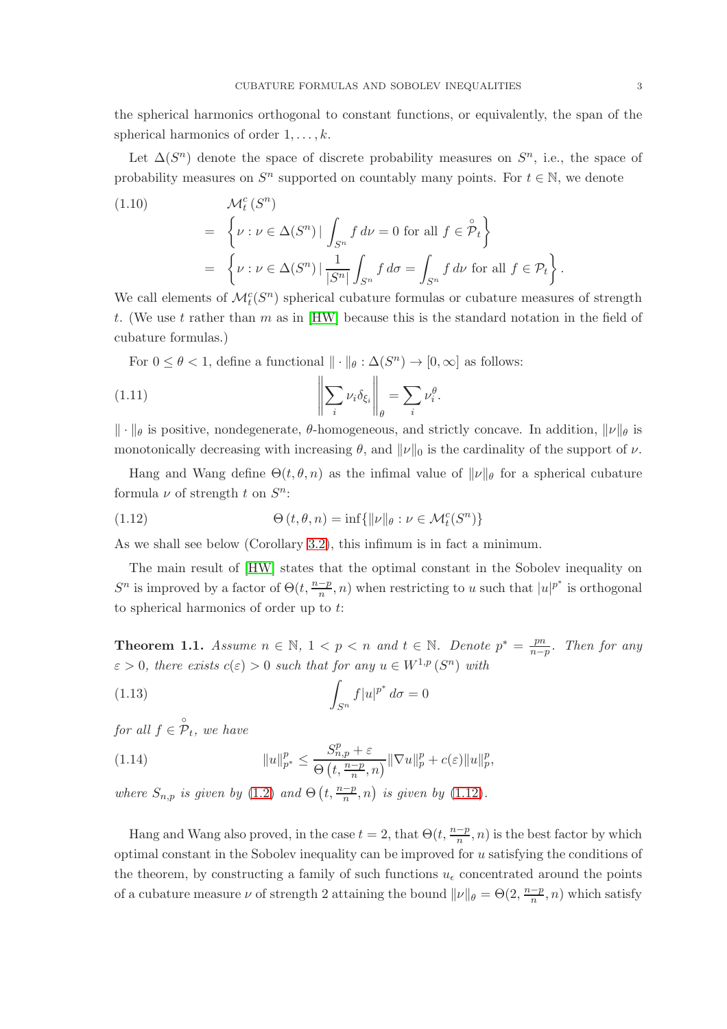the spherical harmonics orthogonal to constant functions, or equivalently, the span of the spherical harmonics of order  $1, \ldots, k$ .

Let  $\Delta(S^n)$  denote the space of discrete probability measures on  $S^n$ , i.e., the space of probability measures on  $S<sup>n</sup>$  supported on countably many points. For  $t \in \mathbb{N}$ , we denote

(1.10)  
\n
$$
\mathcal{M}_t^c(S^n)
$$
\n
$$
= \left\{ \nu : \nu \in \Delta(S^n) \mid \int_{S^n} f \, d\nu = 0 \text{ for all } f \in \mathcal{P}_t \right\}
$$
\n
$$
= \left\{ \nu : \nu \in \Delta(S^n) \mid \frac{1}{|S^n|} \int_{S^n} f \, d\sigma = \int_{S^n} f \, d\nu \text{ for all } f \in \mathcal{P}_t \right\}.
$$

We call elements of  $\mathcal{M}_t^c(S^n)$  spherical cubature formulas or cubature measures of strength t. (We use t rather than m as in [\[HW\]](#page-16-1) because this is the standard notation in the field of cubature formulas.)

For  $0 \le \theta < 1$ , define a functional  $\|\cdot\|_{\theta} : \Delta(S^n) \to [0, \infty]$  as follows:

(1.11) 
$$
\left\| \sum_{i} \nu_{i} \delta_{\xi_{i}} \right\|_{\theta} = \sum_{i} \nu_{i}^{\theta}.
$$

 $\|\cdot\|_{\theta}$  is positive, nondegenerate,  $\theta$ -homogeneous, and strictly concave. In addition,  $\|\nu\|_{\theta}$  is monotonically decreasing with increasing  $\theta$ , and  $\|\nu\|_0$  is the cardinality of the support of  $\nu$ .

Hang and Wang define  $\Theta(t, \theta, n)$  as the infimal value of  $\|\nu\|_{\theta}$  for a spherical cubature formula  $\nu$  of strength t on  $S^n$ :

<span id="page-2-0"></span>(1.12) 
$$
\Theta(t,\theta,n) = \inf\{||\nu||_{\theta} : \nu \in \mathcal{M}_t^c(S^n)\}
$$

As we shall see below (Corollary [3.2\)](#page-7-0), this infimum is in fact a minimum.

The main result of [\[HW\]](#page-16-1) states that the optimal constant in the Sobolev inequality on  $S^n$  is improved by a factor of  $\Theta(t, \frac{n-p}{n}, n)$  when restricting to u such that  $|u|^{p^*}$  is orthogonal to spherical harmonics of order up to t:

**Theorem 1.1.** *Assume*  $n \in \mathbb{N}$ ,  $1 < p < n$  *and*  $t \in \mathbb{N}$ *. Denote*  $p^* = \frac{pn}{n-r}$ n−p *. Then for any*  $\varepsilon > 0$ , there exists  $c(\varepsilon) > 0$  such that for any  $u \in W^{1,p}(S^n)$  with

$$
\int_{S^n} f|u|^{p^*} d\sigma = 0
$$

*for all*  $f \in \overset{\circ}{\mathcal{P}}_t$ *, we have* 

(1.14) 
$$
||u||_{p^*}^p \leq \frac{S_{n,p}^p + \varepsilon}{\Theta(t, \frac{n-p}{n}, n)} ||\nabla u||_p^p + c(\varepsilon) ||u||_p^p,
$$

*where*  $S_{n,p}$  *is given by* [\(1.2\)](#page-0-0) *and*  $\Theta$   $\left(t, \frac{n-p}{n}, n\right)$  *is given by* [\(1.12\)](#page-2-0)*.* 

Hang and Wang also proved, in the case  $t = 2$ , that  $\Theta(t, \frac{n-p}{n}, n)$  is the best factor by which optimal constant in the Sobolev inequality can be improved for  $u$  satisfying the conditions of the theorem, by constructing a family of such functions  $u_{\epsilon}$  concentrated around the points of a cubature measure  $\nu$  of strength 2 attaining the bound  $\|\nu\|_{\theta} = \Theta(2, \frac{n-p}{n})$  $\frac{-p}{n}, n)$  which satisfy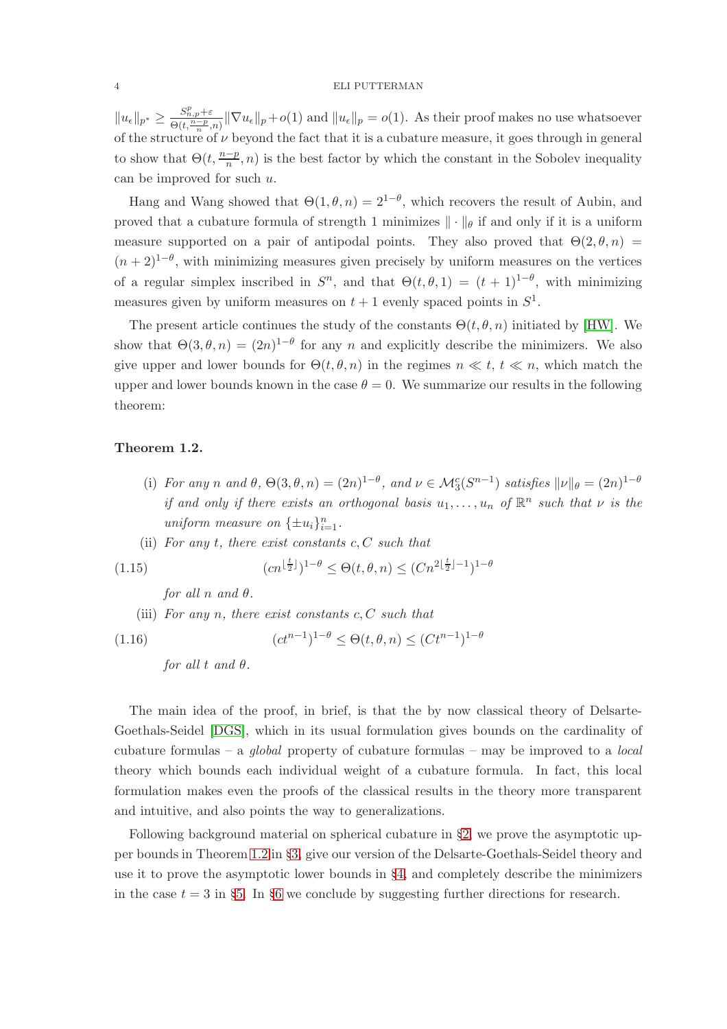$||u_{\epsilon}||_{p^*} \ge \frac{S_{n,p}^p+\varepsilon}{\Theta(t,\frac{n-p}{n},n)} ||\nabla u_{\epsilon}||_p + o(1)$  and  $||u_{\epsilon}||_p = o(1)$ . As their proof makes no use whatsoever of the structure of  $\nu$  beyond the fact that it is a cubature measure, it goes through in general to show that  $\Theta(t, \frac{n-p}{n}, n)$  is the best factor by which the constant in the Sobolev inequality can be improved for such u.

Hang and Wang showed that  $\Theta(1,\theta,n) = 2^{1-\theta}$ , which recovers the result of Aubin, and proved that a cubature formula of strength 1 minimizes  $\|\cdot\|_{\theta}$  if and only if it is a uniform measure supported on a pair of antipodal points. They also proved that  $\Theta(2,\theta,n)$  $(n+2)^{1-\theta}$ , with minimizing measures given precisely by uniform measures on the vertices of a regular simplex inscribed in  $S^n$ , and that  $\Theta(t,\theta,1) = (t+1)^{1-\theta}$ , with minimizing measures given by uniform measures on  $t + 1$  evenly spaced points in  $S^1$ .

The present article continues the study of the constants  $\Theta(t, \theta, n)$  initiated by [\[HW\]](#page-16-1). We show that  $\Theta(3,\theta,n) = (2n)^{1-\theta}$  for any n and explicitly describe the minimizers. We also give upper and lower bounds for  $\Theta(t, \theta, n)$  in the regimes  $n \ll t$ ,  $t \ll n$ , which match the upper and lower bounds known in the case  $\theta = 0$ . We summarize our results in the following theorem:

# <span id="page-3-0"></span>Theorem 1.2.

- (i) For any n and  $\theta$ ,  $\Theta(3, \theta, n) = (2n)^{1-\theta}$ , and  $\nu \in \mathcal{M}_3^c(S^{n-1})$  satisfies  $\|\nu\|_{\theta} = (2n)^{1-\theta}$ *if and only if there exists an orthogonal basis*  $u_1, \ldots, u_n$  *of*  $\mathbb{R}^n$  *such that*  $\nu$  *is the* uniform measure on  $\{\pm u_i\}_{i=1}^n$ .
- (ii) *For any* t*, there exist constants* c, C *such that*

(1.15) 
$$
(cn^{\lfloor \frac{t}{2} \rfloor})^{1-\theta} \leq \Theta(t,\theta,n) \leq (Cn^{2\lfloor \frac{t}{2} \rfloor -1})^{1-\theta}
$$

*for all*  $n$  *and*  $\theta$ *.* 

(iii) *For any* n*, there exist constants* c, C *such that*

(1.16) 
$$
(ct^{n-1})^{1-\theta} \leq \Theta(t,\theta,n) \leq (Ct^{n-1})^{1-\theta}
$$

*for all*  $t$  *and*  $\theta$ *.* 

The main idea of the proof, in brief, is that the by now classical theory of Delsarte-Goethals-Seidel [\[DGS\]](#page-16-8), which in its usual formulation gives bounds on the cardinality of cubature formulas – a *global* property of cubature formulas – may be improved to a *local* theory which bounds each individual weight of a cubature formula. In fact, this local formulation makes even the proofs of the classical results in the theory more transparent and intuitive, and also points the way to generalizations.

Following background material on spherical cubature in §[2,](#page-4-0) we prove the asymptotic upper bounds in Theorem [1.2](#page-3-0) in §[3,](#page-6-0) give our version of the Delsarte-Goethals-Seidel theory and use it to prove the asymptotic lower bounds in §[4,](#page-8-0) and completely describe the minimizers in the case  $t = 3$  in §[5.](#page-11-0) In §[6](#page-12-0) we conclude by suggesting further directions for research.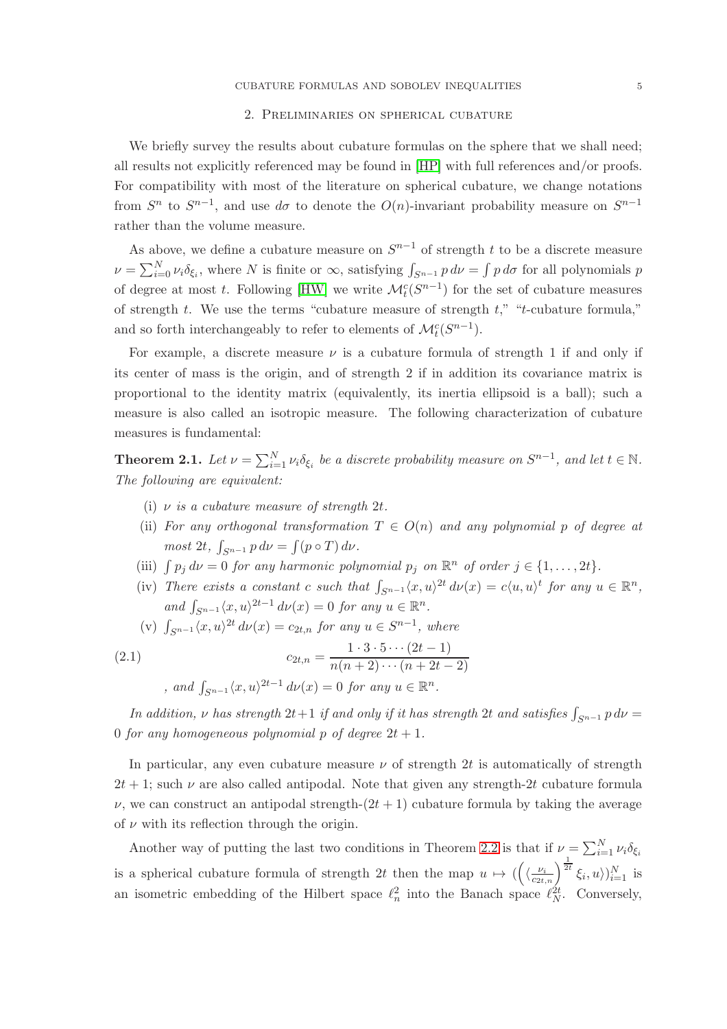### 2. Preliminaries on spherical cubature

<span id="page-4-0"></span>We briefly survey the results about cubature formulas on the sphere that we shall need; all results not explicitly referenced may be found in [\[HP\]](#page-16-0) with full references and/or proofs. For compatibility with most of the literature on spherical cubature, we change notations from  $S<sup>n</sup>$  to  $S<sup>n-1</sup>$ , and use  $d\sigma$  to denote the  $O(n)$ -invariant probability measure on  $S<sup>n-1</sup>$ rather than the volume measure.

As above, we define a cubature measure on  $S^{n-1}$  of strength t to be a discrete measure  $\nu = \sum_{i=0}^{N} \nu_i \delta_{\xi_i}$ , where N is finite or  $\infty$ , satisfying  $\int_{S^{n-1}} p \, d\nu = \int p \, d\sigma$  for all polynomials p of degree at most t. Following [\[HW\]](#page-16-1) we write  $\mathcal{M}_t^c(S^{n-1})$  for the set of cubature measures of strength t. We use the terms "cubature measure of strength  $t$ ," "t-cubature formula," and so forth interchangeably to refer to elements of  $\mathcal{M}_t^c(S^{n-1})$ .

For example, a discrete measure  $\nu$  is a cubature formula of strength 1 if and only if its center of mass is the origin, and of strength 2 if in addition its covariance matrix is proportional to the identity matrix (equivalently, its inertia ellipsoid is a ball); such a measure is also called an isotropic measure. The following characterization of cubature measures is fundamental:

<span id="page-4-1"></span>**Theorem 2.1.** Let  $\nu = \sum_{i=1}^{N} \nu_i \delta_{\xi_i}$  be a discrete probability measure on  $S^{n-1}$ , and let  $t \in \mathbb{N}$ . *The following are equivalent:*

- (i) ν *is a cubature measure of strength* 2t*.*
- (ii) *For any orthogonal transformation*  $T \in O(n)$  *and any polynomial* p of degree at  $most\ 2t$ ,  $\int_{S^{n-1}} p \, d\nu = \int (p \circ T) \, d\nu$ .
- (iii)  $\int p_j d\nu = 0$  *for any harmonic polynomial*  $p_j$  *on*  $\mathbb{R}^n$  *of order*  $j \in \{1, ..., 2t\}$ *.*
- (iv) There exists a constant c such that  $\int_{S^{n-1}} \langle x, u \rangle^{2t} d\nu(x) = c \langle u, u \rangle^t$  for any  $u \in \mathbb{R}^n$ , *and*  $\int_{S^{n-1}} \langle x, u \rangle^{2t-1} d\nu(x) = 0$  *for any*  $u \in \mathbb{R}^n$ *.*
- (v)  $\int_{S^{n-1}} \langle x, u \rangle^{2t} d\nu(x) = c_{2t,n}$  *for any*  $u \in S^{n-1}$ *, where*

(2.1) 
$$
c_{2t,n} = \frac{1 \cdot 3 \cdot 5 \cdots (2t-1)}{n(n+2) \cdots (n+2t-2)}
$$
  
, and  $\int_{S^{n-1}} \langle x, u \rangle^{2t-1} d\nu(x) = 0 \text{ for any } u \in \mathbb{R}^n$ .

*In addition,*  $\nu$  *has strength* 2*t*+1 *if and only if it has strength* 2*t and satisfies*  $\int_{S^{n-1}} p \, d\nu =$ 0 *for any homogeneous polynomial* p *of degree*  $2t + 1$ *.* 

In particular, any even cubature measure  $\nu$  of strength 2t is automatically of strength  $2t + 1$ ; such  $\nu$  are also called antipodal. Note that given any strength-2t cubature formula  $\nu$ , we can construct an antipodal strength- $(2t + 1)$  cubature formula by taking the average of  $\nu$  with its reflection through the origin.

Another way of putting the last two conditions in Theorem [2.2](#page-5-0) is that if  $\nu = \sum_{i=1}^{N} \nu_i \delta_{\xi_i}$ is a spherical cubature formula of strength 2t then the map  $u \mapsto (\left(\langle \frac{\nu_i}{c_{2t,n}}\right)^{\frac{1}{2t}}\xi_i, u)\rangle_{i=1}^N$  is an isometric embedding of the Hilbert space  $\ell_n^2$  into the Banach space  $\ell_N^{2t}$ . Conversely,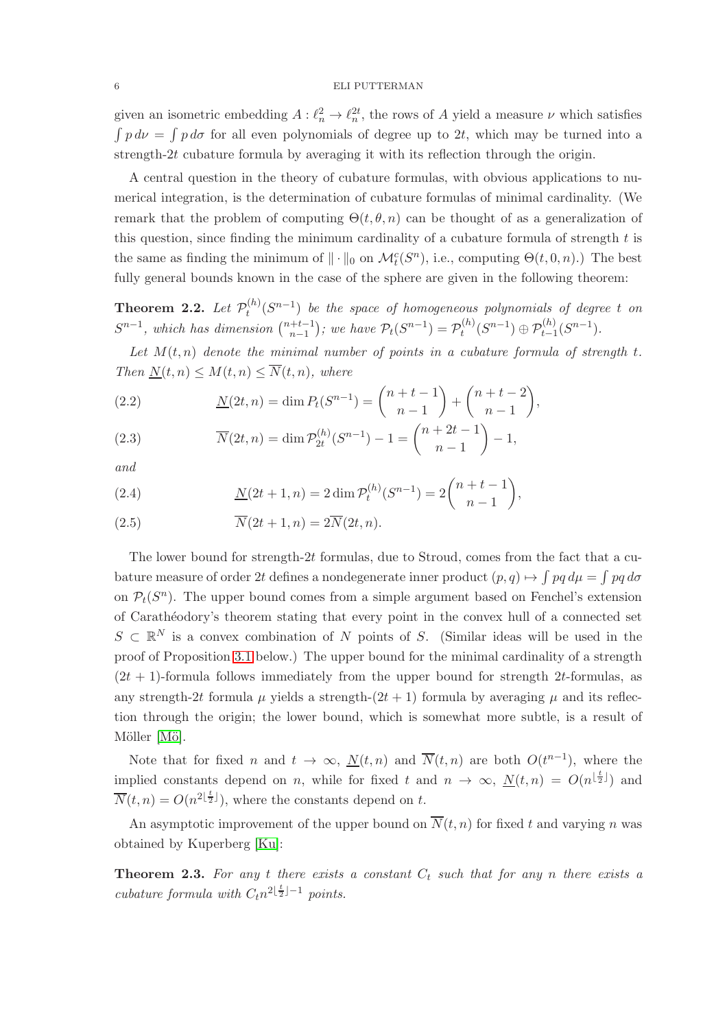given an isometric embedding  $A: \ell_n^2 \to \ell_n^{2t}$ , the rows of A yield a measure  $\nu$  which satisfies  $\int p \, d\nu = \int p \, d\sigma$  for all even polynomials of degree up to 2t, which may be turned into a strength-2t cubature formula by averaging it with its reflection through the origin.

A central question in the theory of cubature formulas, with obvious applications to numerical integration, is the determination of cubature formulas of minimal cardinality. (We remark that the problem of computing  $\Theta(t, \theta, n)$  can be thought of as a generalization of this question, since finding the minimum cardinality of a cubature formula of strength  $t$  is the same as finding the minimum of  $\|\cdot\|_0$  on  $\mathcal{M}_t^c(S^n)$ , i.e., computing  $\Theta(t, 0, n)$ .) The best fully general bounds known in the case of the sphere are given in the following theorem:

<span id="page-5-0"></span>**Theorem 2.2.** Let  $\mathcal{P}_t^{(h)}$  $t_t^{(h)}(S^{n-1})$  *be the space of homogeneous polynomials of degree t on*  $S^{n-1}$ , which has dimension  $\binom{n+t-1}{n-1}$  $\binom{+t-1}{n-1}$ ; we have  $\mathcal{P}_t(S^{n-1}) = \mathcal{P}_t^{(h)}$  $t^{(h)}(S^{n-1}) \oplus \mathcal{P}_{t-1}^{(h)}(S^{n-1}).$ 

Let  $M(t, n)$  denote the minimal number of points in a cubature formula of strength  $t$ . *Then*  $N(t, n) \leq M(t, n) \leq \overline{N}(t, n)$ *, where* 

(2.2) 
$$
\underline{N}(2t,n) = \dim P_t(S^{n-1}) = \binom{n+t-1}{n-1} + \binom{n+t-2}{n-1},
$$

(2.3) 
$$
\overline{N}(2t,n) = \dim \mathcal{P}_{2t}^{(h)}(S^{n-1}) - 1 = {n+2t-1 \choose n-1} - 1,
$$

*and*

(2.4) 
$$
\underline{N}(2t+1,n) = 2 \dim \mathcal{P}_t^{(h)}(S^{n-1}) = 2 {n+t-1 \choose n-1},
$$

(2.5) 
$$
\overline{N}(2t+1,n) = 2\overline{N}(2t,n).
$$

The lower bound for strength-2t formulas, due to Stroud, comes from the fact that a cubature measure of order 2t defines a nondegenerate inner product  $(p, q) \mapsto \int pq \, d\mu = \int pq \, d\sigma$ on  $\mathcal{P}_t(S^n)$ . The upper bound comes from a simple argument based on Fenchel's extension of Carath´eodory's theorem stating that every point in the convex hull of a connected set  $S \subset \mathbb{R}^N$  is a convex combination of N points of S. (Similar ideas will be used in the proof of Proposition [3.1](#page-7-1) below.) The upper bound for the minimal cardinality of a strength  $(2t + 1)$ -formula follows immediately from the upper bound for strength 2t-formulas, as any strength-2t formula  $\mu$  yields a strength-(2t + 1) formula by averaging  $\mu$  and its reflection through the origin; the lower bound, which is somewhat more subtle, is a result of Möller [Mö].

Note that for fixed n and  $t \to \infty$ ,  $\underline{N}(t,n)$  and  $\overline{N}(t,n)$  are both  $O(t^{n-1})$ , where the implied constants depend on n, while for fixed t and  $n \to \infty$ ,  $N(t,n) = O(n^{\lfloor \frac{t}{2} \rfloor})$  and  $\overline{N}(t,n) = O(n^{2\lfloor \frac{t}{2} \rfloor}),$  where the constants depend on t.

An asymptotic improvement of the upper bound on  $\overline{N}(t, n)$  for fixed t and varying n was obtained by Kuperberg [\[Ku\]](#page-17-3):

<span id="page-5-1"></span>**Theorem 2.3.** For any t there exists a constant  $C_t$  such that for any n there exists a *cubature formula with*  $C_t n^{2\lfloor \frac{t}{2} \rfloor - 1}$  points.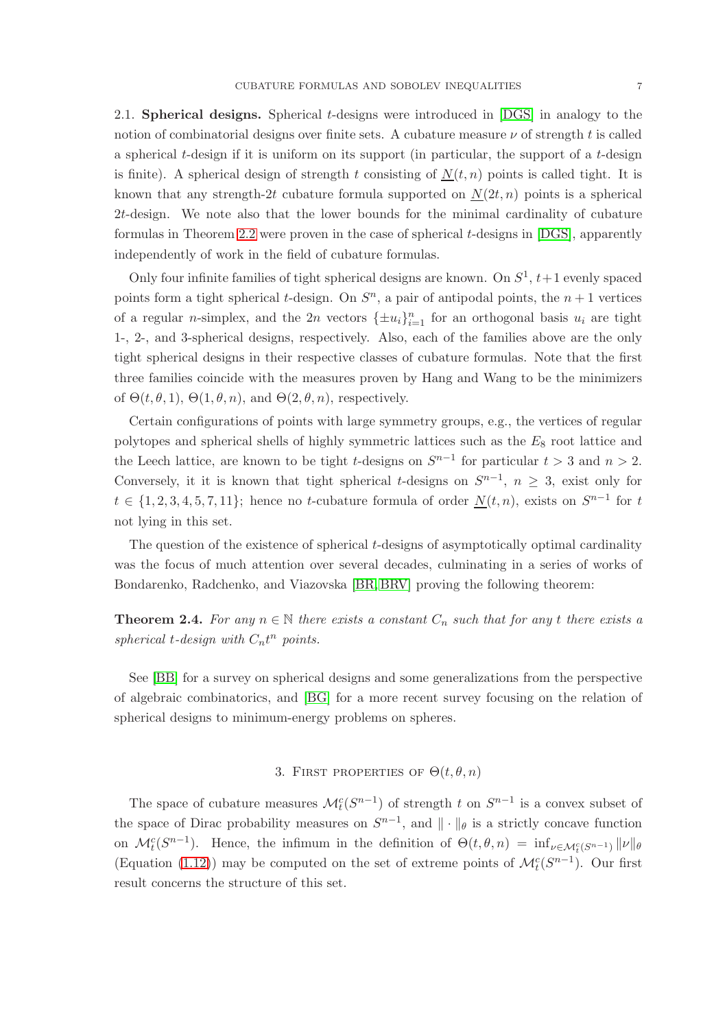2.1. Spherical designs. Spherical t-designs were introduced in [\[DGS\]](#page-16-8) in analogy to the notion of combinatorial designs over finite sets. A cubature measure  $\nu$  of strength t is called a spherical  $t$ -design if it is uniform on its support (in particular, the support of a  $t$ -design is finite). A spherical design of strength t consisting of  $N(t, n)$  points is called tight. It is known that any strength-2t cubature formula supported on  $N(2t, n)$  points is a spherical 2t-design. We note also that the lower bounds for the minimal cardinality of cubature formulas in Theorem [2.2](#page-5-0) were proven in the case of spherical t-designs in [\[DGS\]](#page-16-8), apparently independently of work in the field of cubature formulas.

Only four infinite families of tight spherical designs are known. On  $S^1$ ,  $t+1$  evenly spaced points form a tight spherical *t*-design. On  $S<sup>n</sup>$ , a pair of antipodal points, the  $n + 1$  vertices of a regular *n*-simplex, and the 2*n* vectors  $\{\pm u_i\}_{i=1}^n$  for an orthogonal basis  $u_i$  are tight 1-, 2-, and 3-spherical designs, respectively. Also, each of the families above are the only tight spherical designs in their respective classes of cubature formulas. Note that the first three families coincide with the measures proven by Hang and Wang to be the minimizers of  $\Theta(t, \theta, 1), \Theta(1, \theta, n),$  and  $\Theta(2, \theta, n)$ , respectively.

Certain configurations of points with large symmetry groups, e.g., the vertices of regular polytopes and spherical shells of highly symmetric lattices such as the  $E_8$  root lattice and the Leech lattice, are known to be tight t-designs on  $S^{n-1}$  for particular  $t > 3$  and  $n > 2$ . Conversely, it it is known that tight spherical t-designs on  $S^{n-1}$ ,  $n \geq 3$ , exist only for  $t \in \{1, 2, 3, 4, 5, 7, 11\}$ ; hence no t-cubature formula of order  $N(t, n)$ , exists on  $S^{n-1}$  for t not lying in this set.

The question of the existence of spherical t-designs of asymptotically optimal cardinality was the focus of much attention over several decades, culminating in a series of works of Bondarenko, Radchenko, and Viazovska [\[BR,](#page-16-9) [BRV\]](#page-16-10) proving the following theorem:

**Theorem 2.4.** For any  $n \in \mathbb{N}$  there exists a constant  $C_n$  such that for any t there exists a spherical  $t$ -design with  $C_n t^n$  points.

See [\[BB\]](#page-16-11) for a survey on spherical designs and some generalizations from the perspective of algebraic combinatorics, and [\[BG\]](#page-16-12) for a more recent survey focusing on the relation of spherical designs to minimum-energy problems on spheres.

# 3. FIRST PROPERTIES OF  $\Theta(t, \theta, n)$

<span id="page-6-0"></span>The space of cubature measures  $\mathcal{M}_t^c(S^{n-1})$  of strength t on  $S^{n-1}$  is a convex subset of the space of Dirac probability measures on  $S^{n-1}$ , and  $\|\cdot\|_{\theta}$  is a strictly concave function on  $\mathcal{M}_t^c(S^{n-1})$ . Hence, the infimum in the definition of  $\Theta(t,\theta,n) = \inf_{\nu \in \mathcal{M}_t^c(S^{n-1})} ||\nu||_{\theta}$ (Equation [\(1.12\)](#page-2-0)) may be computed on the set of extreme points of  $\mathcal{M}_t^c(S^{n-1})$ . Our first result concerns the structure of this set.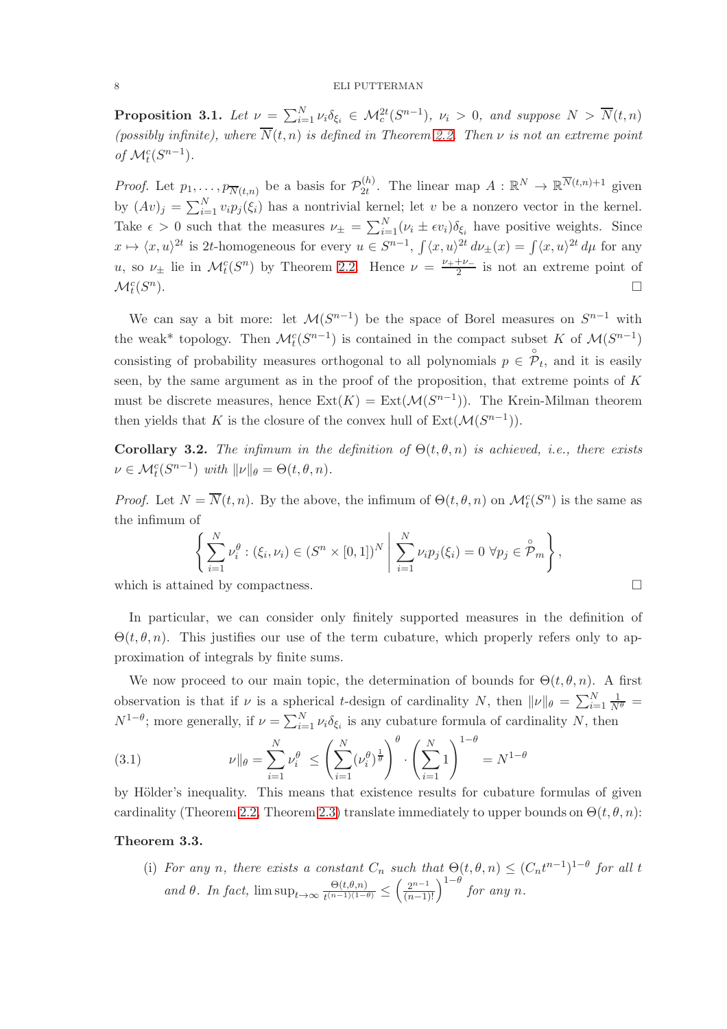<span id="page-7-1"></span>**Proposition 3.1.** Let  $\nu = \sum_{i=1}^{N} \nu_i \delta_{\xi_i} \in \mathcal{M}_c^{2t}(S^{n-1}), \nu_i > 0$ , and suppose  $N > \overline{N}(t,n)$ *(possibly infinite), where*  $\overline{N}(t, n)$  *is defined in Theorem [2.2.](#page-5-0) Then*  $\nu$  *is not an extreme point of*  $\mathcal{M}_t^c(S^{n-1})$ *.* 

*Proof.* Let  $p_1, \ldots, p_{\overline{N}(t,n)}$  be a basis for  $\mathcal{P}_{2t}^{(h)}$  $\mathcal{L}_{2t}^{(h)}$ . The linear map  $A: \mathbb{R}^N \to \mathbb{R}^{\overline{N}(t,n)+1}$  given by  $(Av)_j = \sum_{i=1}^N v_i p_j(\xi_i)$  has a nontrivial kernel; let v be a nonzero vector in the kernel. Take  $\epsilon > 0$  such that the measures  $\nu_{\pm} = \sum_{i=1}^{N} (\nu_i \pm \epsilon v_i) \delta_{\xi_i}$  have positive weights. Since  $x \mapsto \langle x, u \rangle^{2t}$  is 2t-homogeneous for every  $u \in S^{n-1}$ ,  $\int \langle x, u \rangle^{2t} d\nu_{\pm}(x) = \int \langle x, u \rangle^{2t} d\mu$  for any u, so  $\nu_{\pm}$  lie in  $\mathcal{M}_t^c(S^n)$  by Theorem [2.2.](#page-5-0) Hence  $\nu = \frac{\nu_{+} + \nu_{-}}{2}$  $\frac{1+\nu_-}{2}$  is not an extreme point of  $\mathcal{M}_t^c(S^n)$  $\Box$ 

We can say a bit more: let  $\mathcal{M}(S^{n-1})$  be the space of Borel measures on  $S^{n-1}$  with the weak<sup>\*</sup> topology. Then  $\mathcal{M}_t^c(S^{n-1})$  is contained in the compact subset K of  $\mathcal{M}(S^{n-1})$ consisting of probability measures orthogonal to all polynomials  $p \in \overset{\circ}{\mathcal{P}}_t$ , and it is easily seen, by the same argument as in the proof of the proposition, that extreme points of  $K$ must be discrete measures, hence  $\text{Ext}(K) = \text{Ext}(\mathcal{M}(S^{n-1}))$ . The Krein-Milman theorem then yields that K is the closure of the convex hull of  $Ext(M(S^{n-1}))$ .

<span id="page-7-0"></span>**Corollary 3.2.** *The infimum in the definition of*  $\Theta(t, \theta, n)$  *is achieved, i.e., there exists*  $\nu \in \mathcal{M}_t^c(S^{n-1})$  *with*  $\|\nu\|_{\theta} = \Theta(t, \theta, n)$ *.* 

*Proof.* Let  $N = \overline{N}(t, n)$ . By the above, the infimum of  $\Theta(t, \theta, n)$  on  $\mathcal{M}_t^c(S^n)$  is the same as the infimum of

$$
\left\{\sum_{i=1}^N \nu_i^{\theta} : (\xi_i, \nu_i) \in (S^n \times [0,1])^N \middle| \sum_{i=1}^N \nu_i p_j(\xi_i) = 0 \,\forall p_j \in \overset{\circ}{\mathcal{P}}_m \right\},\
$$

which is attained by compactness.  $\Box$ 

In particular, we can consider only finitely supported measures in the definition of  $\Theta(t, \theta, n)$ . This justifies our use of the term cubature, which properly refers only to approximation of integrals by finite sums.

We now proceed to our main topic, the determination of bounds for  $\Theta(t, \theta, n)$ . A first observation is that if  $\nu$  is a spherical t-design of cardinality N, then  $\|\nu\|_{\theta} = \sum_{i=1}^{N} \frac{1}{N^{\theta}} =$  $N^{1-\theta}$ ; more generally, if  $\nu = \sum_{i=1}^{N} \nu_i \delta_{\xi_i}$  is any cubature formula of cardinality N, then

(3.1) 
$$
\nu \| \theta = \sum_{i=1}^{N} \nu_i^{\theta} \le \left( \sum_{i=1}^{N} (\nu_i^{\theta})^{\frac{1}{\theta}} \right)^{\theta} \cdot \left( \sum_{i=1}^{N} 1 \right)^{1-\theta} = N^{1-\theta}
$$

by Hölder's inequality. This means that existence results for cubature formulas of given cardinality (Theorem [2.2,](#page-5-0) Theorem [2.3\)](#page-5-1) translate immediately to upper bounds on  $\Theta(t, \theta, n)$ :

# Theorem 3.3.

(i) For any n, there exists a constant  $C_n$  such that  $\Theta(t, \theta, n) \leq (C_n t^{n-1})^{1-\theta}$  for all t *and*  $\theta$ *. In fact,* lim sup<sub>t→∞</sub>  $\frac{\Theta(t,\theta,n)}{t^{(n-1)(1-t)}}$  $\frac{\Theta(t,\theta,n)}{t^{(n-1)(1-\theta)}} \le \left(\frac{2^{n-1}}{(n-1)!}\right)^{1-\theta}$  *for any n*.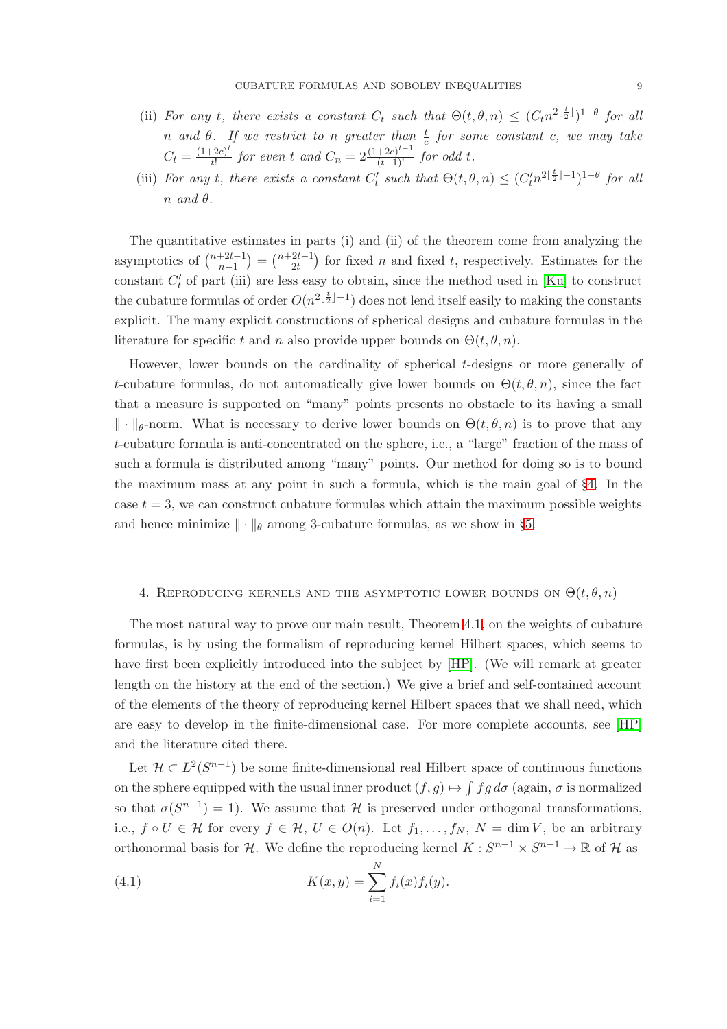- (ii) *For any t*, there exists a constant  $C_t$  such that  $\Theta(t, \theta, n) \leq (C_t n^{2\lfloor \frac{t}{2} \rfloor})^{1-\theta}$  for all *n* and  $\theta$ . If we restrict to *n* greater than  $\frac{t}{c}$  for some constant c, we may take  $C_t = \frac{(1+2c)^t}{t!}$  $\frac{(1-2c)^t}{t!}$  *for even t and*  $C_n = 2\frac{(1+2c)^{t-1}}{(t-1)!}$  *for odd t.*
- (iii) *For any t*, there exists a constant  $C'_t$  such that  $\Theta(t, \theta, n) \leq (C'_t n^{2\lfloor \frac{t}{2} \rfloor 1})^{1-\theta}$  for all  $n \text{ and } \theta.$

The quantitative estimates in parts (i) and (ii) of the theorem come from analyzing the asymptotics of  $\binom{n+2t-1}{n-1}$  $\binom{+2t-1}{n-1} = \binom{n+2t-1}{2t}$  $\binom{2t-1}{2t}$  for fixed *n* and fixed *t*, respectively. Estimates for the constant  $C'_{t}$  of part (iii) are less easy to obtain, since the method used in [\[Ku\]](#page-17-3) to construct the cubature formulas of order  $O(n^{2\lfloor \frac{t}{2} \rfloor - 1})$  does not lend itself easily to making the constants explicit. The many explicit constructions of spherical designs and cubature formulas in the literature for specific t and n also provide upper bounds on  $\Theta(t, \theta, n)$ .

However, lower bounds on the cardinality of spherical t-designs or more generally of t-cubature formulas, do not automatically give lower bounds on  $\Theta(t, \theta, n)$ , since the fact that a measure is supported on "many" points presents no obstacle to its having a small  $\|\cdot\|_{\theta}$ -norm. What is necessary to derive lower bounds on  $\Theta(t, \theta, n)$  is to prove that any t-cubature formula is anti-concentrated on the sphere, i.e., a "large" fraction of the mass of such a formula is distributed among "many" points. Our method for doing so is to bound the maximum mass at any point in such a formula, which is the main goal of §[4.](#page-8-0) In the case  $t = 3$ , we can construct cubature formulas which attain the maximum possible weights and hence minimize  $\|\cdot\|_{\theta}$  among 3-cubature formulas, as we show in §[5.](#page-11-0)

# <span id="page-8-0"></span>4. REPRODUCING KERNELS AND THE ASYMPTOTIC LOWER BOUNDS ON  $\Theta(t, \theta, n)$

The most natural way to prove our main result, Theorem [4.1,](#page-9-0) on the weights of cubature formulas, is by using the formalism of reproducing kernel Hilbert spaces, which seems to have first been explicitly introduced into the subject by [\[HP\]](#page-16-0). (We will remark at greater length on the history at the end of the section.) We give a brief and self-contained account of the elements of the theory of reproducing kernel Hilbert spaces that we shall need, which are easy to develop in the finite-dimensional case. For more complete accounts, see [\[HP\]](#page-16-0) and the literature cited there.

Let  $\mathcal{H} \subset L^2(S^{n-1})$  be some finite-dimensional real Hilbert space of continuous functions on the sphere equipped with the usual inner product  $(f, g) \mapsto \int f g d\sigma$  (again,  $\sigma$  is normalized so that  $\sigma(S^{n-1}) = 1$ ). We assume that H is preserved under orthogonal transformations, i.e.,  $f \circ U \in \mathcal{H}$  for every  $f \in \mathcal{H}$ ,  $U \in O(n)$ . Let  $f_1, \ldots, f_N$ ,  $N = \dim V$ , be an arbitrary orthonormal basis for H. We define the reproducing kernel  $K: S^{n-1} \times S^{n-1} \to \mathbb{R}$  of H as

(4.1) 
$$
K(x,y) = \sum_{i=1}^{N} f_i(x) f_i(y).
$$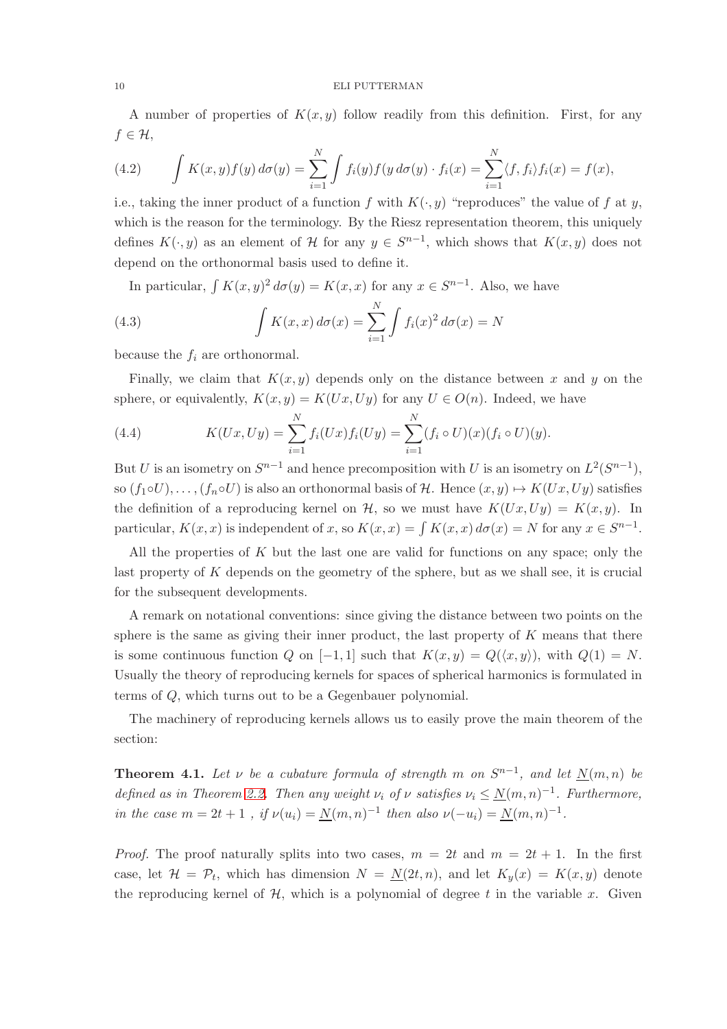A number of properties of  $K(x, y)$  follow readily from this definition. First, for any  $f \in \mathcal{H},$ 

(4.2) 
$$
\int K(x,y)f(y) d\sigma(y) = \sum_{i=1}^N \int f_i(y)f(y d\sigma(y) \cdot f_i(x)) = \sum_{i=1}^N \langle f, f_i \rangle f_i(x) = f(x),
$$

i.e., taking the inner product of a function f with  $K(\cdot, y)$  "reproduces" the value of f at y, which is the reason for the terminology. By the Riesz representation theorem, this uniquely defines  $K(\cdot, y)$  as an element of H for any  $y \in S^{n-1}$ , which shows that  $K(x, y)$  does not depend on the orthonormal basis used to define it.

In particular,  $\int K(x, y)^2 d\sigma(y) = K(x, x)$  for any  $x \in S^{n-1}$ . Also, we have

(4.3) 
$$
\int K(x,x) d\sigma(x) = \sum_{i=1}^{N} \int f_i(x)^2 d\sigma(x) = N
$$

because the  $f_i$  are orthonormal.

Finally, we claim that  $K(x, y)$  depends only on the distance between x and y on the sphere, or equivalently,  $K(x, y) = K(Ux, Uy)$  for any  $U \in O(n)$ . Indeed, we have

(4.4) 
$$
K(Ux, Uy) = \sum_{i=1}^{N} f_i(Ux) f_i(Uy) = \sum_{i=1}^{N} (f_i \circ U)(x) (f_i \circ U)(y).
$$

But U is an isometry on  $S^{n-1}$  and hence precomposition with U is an isometry on  $L^2(S^{n-1})$ , so  $(f_1 \circ U), \ldots, (f_n \circ U)$  is also an orthonormal basis of H. Hence  $(x, y) \mapsto K(Ux, Uy)$  satisfies the definition of a reproducing kernel on H, so we must have  $K(Ux, Uy) = K(x, y)$ . In particular,  $K(x, x)$  is independent of x, so  $K(x, x) = \int K(x, x) d\sigma(x) = N$  for any  $x \in S^{n-1}$ .

All the properties of  $K$  but the last one are valid for functions on any space; only the last property of K depends on the geometry of the sphere, but as we shall see, it is crucial for the subsequent developments.

A remark on notational conventions: since giving the distance between two points on the sphere is the same as giving their inner product, the last property of  $K$  means that there is some continuous function Q on [−1, 1] such that  $K(x, y) = Q(\langle x, y \rangle)$ , with  $Q(1) = N$ . Usually the theory of reproducing kernels for spaces of spherical harmonics is formulated in terms of Q, which turns out to be a Gegenbauer polynomial.

The machinery of reproducing kernels allows us to easily prove the main theorem of the section:

<span id="page-9-0"></span>**Theorem 4.1.** Let  $\nu$  be a cubature formula of strength m on  $S^{n-1}$ , and let  $\underline{N}(m,n)$  be *defined as in Theorem [2.2.](#page-5-0) Then any weight*  $\nu_i$  *of*  $\nu$  *satisfies*  $\nu_i \leq N(m,n)^{-1}$ *. Furthermore, in the case*  $m = 2t + 1$ , *if*  $\nu(u_i) = \underline{N}(m, n)^{-1}$  *then also*  $\nu(-u_i) = \underline{N}(m, n)^{-1}$ *.* 

*Proof.* The proof naturally splits into two cases,  $m = 2t$  and  $m = 2t + 1$ . In the first case, let  $\mathcal{H} = \mathcal{P}_t$ , which has dimension  $N = \underline{N}(2t, n)$ , and let  $K_y(x) = K(x, y)$  denote the reproducing kernel of  $H$ , which is a polynomial of degree t in the variable x. Given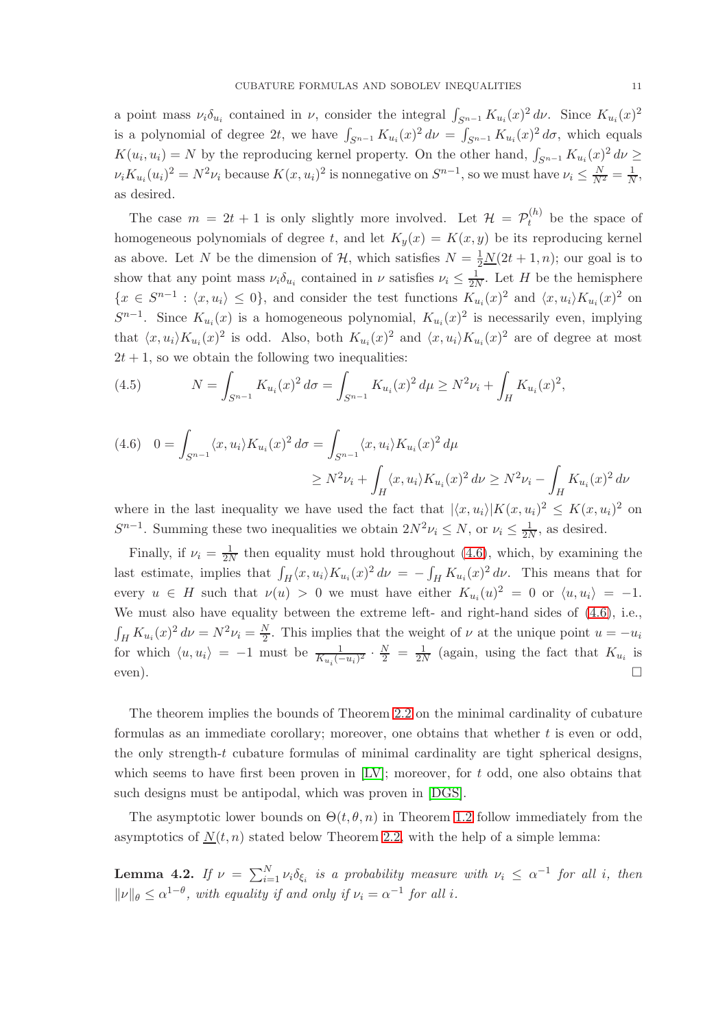a point mass  $\nu_i \delta_{u_i}$  contained in  $\nu$ , consider the integral  $\int_{S^{n-1}} K_{u_i}(x)^2 d\nu$ . Since  $K_{u_i}(x)^2$ is a polynomial of degree 2t, we have  $\int_{S^{n-1}} K_{u_i}(x)^2 d\nu = \int_{S^{n-1}} K_{u_i}(x)^2 d\sigma$ , which equals  $K(u_i, u_i) = N$  by the reproducing kernel property. On the other hand,  $\int_{S^{n-1}} K_{u_i}(x)^2 d\nu \ge$  $\nu_i K_{u_i}(u_i)^2 = N^2 \nu_i$  because  $K(x, u_i)^2$  is nonnegative on  $S^{n-1}$ , so we must have  $\nu_i \leq \frac{N}{N^2} = \frac{1}{N}$ , as desired.

The case  $m = 2t + 1$  is only slightly more involved. Let  $\mathcal{H} = \mathcal{P}_t^{(h)}$  be the space of homogeneous polynomials of degree t, and let  $K_y(x) = K(x, y)$  be its reproducing kernel as above. Let N be the dimension of H, which satisfies  $N = \frac{1}{2}N(2t + 1, n)$ ; our goal is to show that any point mass  $\nu_i \delta_{u_i}$  contained in  $\nu$  satisfies  $\nu_i \leq \frac{1}{2N}$ . Let H be the hemisphere  $\{x \in S^{n-1} : \langle x, u_i \rangle \leq 0\}$ , and consider the test functions  $K_{u_i}(x)^2$  and  $\langle x, u_i \rangle K_{u_i}(x)^2$  on  $S^{n-1}$ . Since  $K_{u_i}(x)$  is a homogeneous polynomial,  $K_{u_i}(x)^2$  is necessarily even, implying that  $\langle x, u_i \rangle K_{u_i}(x)^2$  is odd. Also, both  $K_{u_i}(x)^2$  and  $\langle x, u_i \rangle K_{u_i}(x)^2$  are of degree at most  $2t + 1$ , so we obtain the following two inequalities:

(4.5) 
$$
N = \int_{S^{n-1}} K_{u_i}(x)^2 d\sigma = \int_{S^{n-1}} K_{u_i}(x)^2 d\mu \ge N^2 \nu_i + \int_H K_{u_i}(x)^2,
$$

<span id="page-10-0"></span>
$$
(4.6) \quad 0 = \int_{S^{n-1}} \langle x, u_i \rangle K_{u_i}(x)^2 \, d\sigma = \int_{S^{n-1}} \langle x, u_i \rangle K_{u_i}(x)^2 \, d\mu
$$

$$
\geq N^2 \nu_i + \int_H \langle x, u_i \rangle K_{u_i}(x)^2 \, d\nu \geq N^2 \nu_i - \int_H K_{u_i}(x)^2 \, d\nu
$$

where in the last inequality we have used the fact that  $|\langle x, u_i \rangle| K(x, u_i)^2 \leq K(x, u_i)^2$  on  $S^{n-1}$ . Summing these two inequalities we obtain  $2N^2\nu_i \leq N$ , or  $\nu_i \leq \frac{1}{2N}$ , as desired.

Finally, if  $\nu_i = \frac{1}{2N}$  then equality must hold throughout [\(4.6\)](#page-10-0), which, by examining the last estimate, implies that  $\int_H \langle x, u_i \rangle K_{u_i}(x)^2 d\nu = -\int_H K_{u_i}(x)^2 d\nu$ . This means that for every  $u \in H$  such that  $\nu(u) > 0$  we must have either  $K_{u_i}(u)^2 = 0$  or  $\langle u, u_i \rangle = -1$ . We must also have equality between the extreme left- and right-hand sides of  $(4.6)$ , i.e.,  $\int_H K_{u_i}(x)^2 d\nu = N^2 \nu_i = \frac{N}{2}$  $\frac{N}{2}$ . This implies that the weight of  $\nu$  at the unique point  $u = -u_i$ for which  $\langle u, u_i \rangle = -1$  must be  $\frac{1}{K_{u_i}(-u_i)^2} \cdot \frac{N}{2} = \frac{1}{2N}$  (again, using the fact that  $K_{u_i}$  is even).

The theorem implies the bounds of Theorem [2.2](#page-5-0) on the minimal cardinality of cubature formulas as an immediate corollary; moreover, one obtains that whether  $t$  is even or odd, the only strength-t cubature formulas of minimal cardinality are tight spherical designs, which seems to have first been proven in  $[LV]$ ; moreover, for t odd, one also obtains that such designs must be antipodal, which was proven in [\[DGS\]](#page-16-8).

The asymptotic lower bounds on  $\Theta(t, \theta, n)$  in Theorem [1.2](#page-3-0) follow immediately from the asymptotics of  $N(t, n)$  stated below Theorem [2.2,](#page-5-0) with the help of a simple lemma:

<span id="page-10-1"></span>**Lemma 4.2.** If  $\nu = \sum_{i=1}^{N} \nu_i \delta_{\xi_i}$  is a probability measure with  $\nu_i \leq \alpha^{-1}$  for all i, then  $\|\nu\|_{\theta} \leq \alpha^{1-\theta}$ , with equality if and only if  $\nu_i = \alpha^{-1}$  for all i.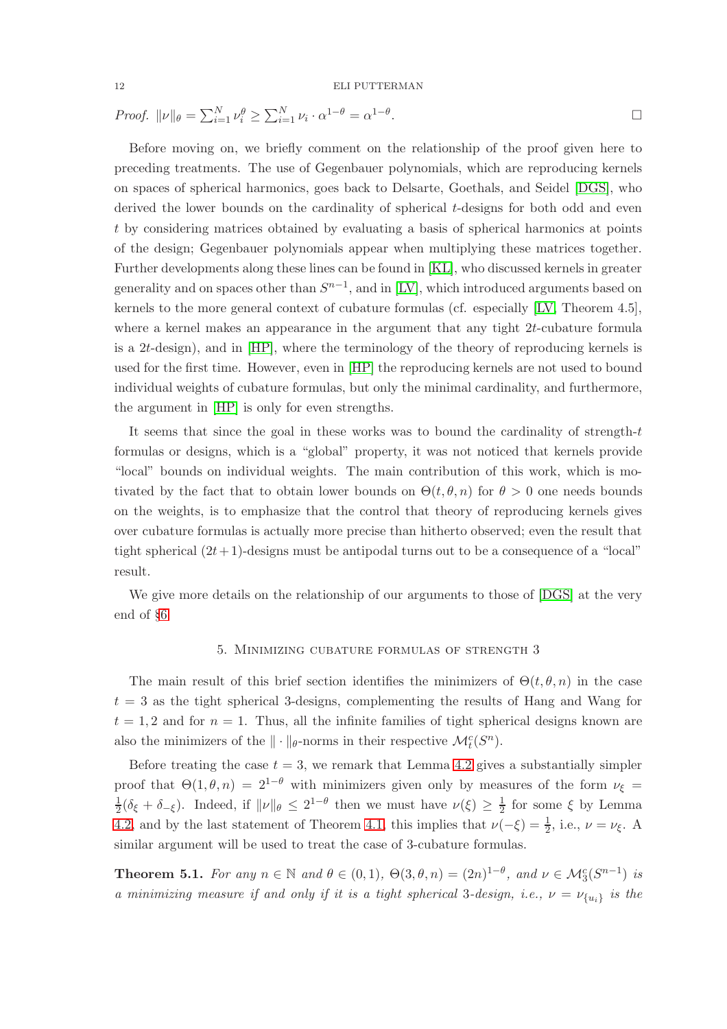.

*Proof.*  $||\nu||_{\theta} = \sum_{i=1}^{N} \nu_i^{\theta} \ge \sum_{i=1}^{N} \nu_i \cdot \alpha^{1-\theta} = \alpha^{1-\theta}$ 

Before moving on, we briefly comment on the relationship of the proof given here to preceding treatments. The use of Gegenbauer polynomials, which are reproducing kernels on spaces of spherical harmonics, goes back to Delsarte, Goethals, and Seidel [\[DGS\]](#page-16-8), who derived the lower bounds on the cardinality of spherical t-designs for both odd and even t by considering matrices obtained by evaluating a basis of spherical harmonics at points of the design; Gegenbauer polynomials appear when multiplying these matrices together. Further developments along these lines can be found in [\[KL\]](#page-17-5), who discussed kernels in greater generality and on spaces other than  $S^{n-1}$ , and in [\[LV\]](#page-17-4), which introduced arguments based on kernels to the more general context of cubature formulas (cf. especially [\[LV,](#page-17-4) Theorem 4.5], where a kernel makes an appearance in the argument that any tight  $2t$ -cubature formula is a 2t-design), and in [\[HP\]](#page-16-0), where the terminology of the theory of reproducing kernels is used for the first time. However, even in [\[HP\]](#page-16-0) the reproducing kernels are not used to bound individual weights of cubature formulas, but only the minimal cardinality, and furthermore, the argument in [\[HP\]](#page-16-0) is only for even strengths.

It seems that since the goal in these works was to bound the cardinality of strength- $t$ formulas or designs, which is a "global" property, it was not noticed that kernels provide "local" bounds on individual weights. The main contribution of this work, which is motivated by the fact that to obtain lower bounds on  $\Theta(t, \theta, n)$  for  $\theta > 0$  one needs bounds on the weights, is to emphasize that the control that theory of reproducing kernels gives over cubature formulas is actually more precise than hitherto observed; even the result that tight spherical  $(2t+1)$ -designs must be antipodal turns out to be a consequence of a "local" result.

<span id="page-11-0"></span>We give more details on the relationship of our arguments to those of [\[DGS\]](#page-16-8) at the very end of §[6](#page-12-0)

# 5. Minimizing cubature formulas of strength 3

The main result of this brief section identifies the minimizers of  $\Theta(t, \theta, n)$  in the case  $t = 3$  as the tight spherical 3-designs, complementing the results of Hang and Wang for  $t = 1, 2$  and for  $n = 1$ . Thus, all the infinite families of tight spherical designs known are also the minimizers of the  $\|\cdot\|_{\theta}$ -norms in their respective  $\mathcal{M}_t^c(S^n)$ .

Before treating the case  $t = 3$ , we remark that Lemma [4.2](#page-10-1) gives a substantially simpler proof that  $\Theta(1,\theta,n) = 2^{1-\theta}$  with minimizers given only by measures of the form  $\nu_{\xi}$ 1  $\frac{1}{2}(\delta_{\xi} + \delta_{-\xi})$ . Indeed, if  $\|\nu\|_{\theta} \leq 2^{1-\theta}$  then we must have  $\nu(\xi) \geq \frac{1}{2}$  $\frac{1}{2}$  for some  $\xi$  by Lemma [4.2,](#page-10-1) and by the last statement of Theorem [4.1,](#page-9-0) this implies that  $\nu(-\xi) = \frac{1}{2}$ , i.e.,  $\nu = \nu_{\xi}$ . A similar argument will be used to treat the case of 3-cubature formulas.

**Theorem 5.1.** *For any*  $n \in \mathbb{N}$  *and*  $\theta \in (0,1)$ ,  $\Theta(3,\theta,n) = (2n)^{1-\theta}$ *, and*  $\nu \in \mathcal{M}_3^c(S^{n-1})$  *is a minimizing measure if and only if it is a tight spherical* 3-design, *i.e.*,  $\nu = \nu_{\{u_i\}}$  *is the*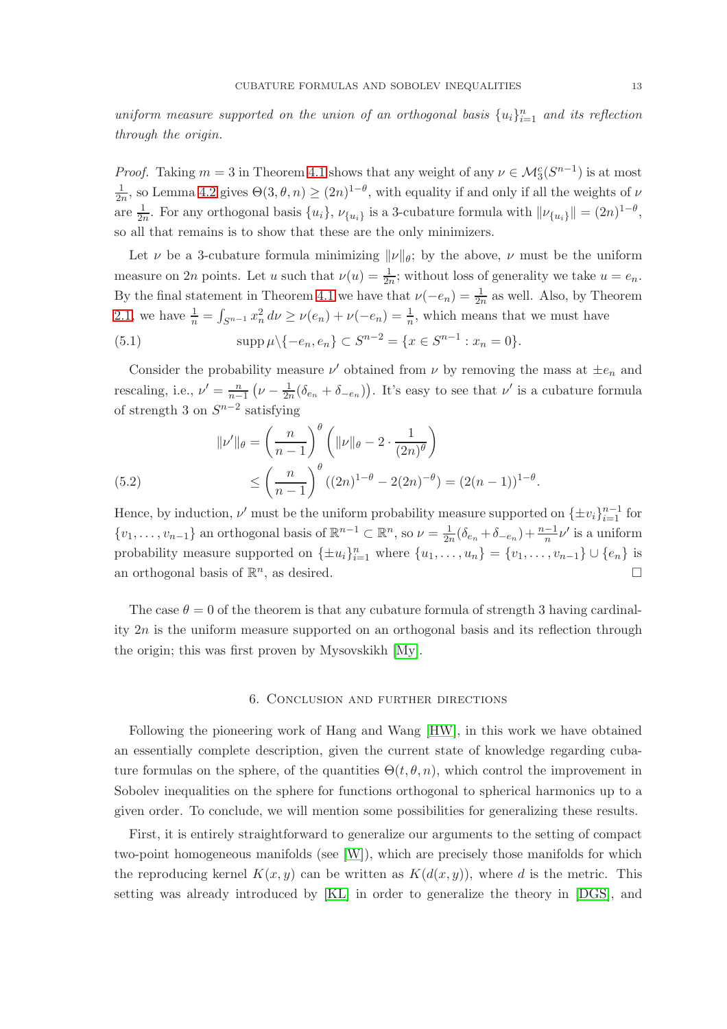uniform measure supported on the union of an orthogonal basis  $\{u_i\}_{i=1}^n$  and its reflection *through the origin.*

*Proof.* Taking  $m = 3$  in Theorem [4.1](#page-9-0) shows that any weight of any  $\nu \in \mathcal{M}_3^c(S^{n-1})$  is at most  $\frac{1}{2n}$ , so Lemma [4.2](#page-10-1) gives  $\Theta(3,\theta,n) \ge (2n)^{1-\theta}$ , with equality if and only if all the weights of  $\nu$ are  $\frac{1}{2n}$ . For any orthogonal basis  $\{u_i\}$ ,  $\nu_{\{u_i\}}$  is a 3-cubature formula with  $\|\nu_{\{u_i\}}\| = (2n)^{1-\theta}$ , so all that remains is to show that these are the only minimizers.

Let  $\nu$  be a 3-cubature formula minimizing  $\|\nu\|_{\theta}$ ; by the above,  $\nu$  must be the uniform measure on 2n points. Let u such that  $\nu(u) = \frac{1}{2n}$ ; without loss of generality we take  $u = e_n$ . By the final statement in Theorem [4.1](#page-9-0) we have that  $\nu(-e_n) = \frac{1}{2n}$  as well. Also, by Theorem [2.1,](#page-4-1) we have  $\frac{1}{n} = \int_{S^{n-1}} x_n^2 d\nu \ge \nu(e_n) + \nu(-e_n) = \frac{1}{n}$ , which means that we must have

(5.1) 
$$
\mathrm{supp}\,\mu\setminus\{-e_n,e_n\}\subset S^{n-2}=\{x\in S^{n-1}:x_n=0\}.
$$

Consider the probability measure  $\nu'$  obtained from  $\nu$  by removing the mass at  $\pm e_n$  and rescaling, i.e.,  $\nu' = \frac{n}{n-1}$  $\frac{n}{n-1}(\nu-\frac{1}{2n}(\delta_{e_n}+\delta_{-e_n}))$ . It's easy to see that  $\nu'$  is a cubature formula of strength 3 on  $S^{n-2}$  satisfying

(5.2) 
$$
\|v'\|_{\theta} = \left(\frac{n}{n-1}\right)^{\theta} \left(\|v\|_{\theta} - 2 \cdot \frac{1}{(2n)^{\theta}}\right) \le \left(\frac{n}{n-1}\right)^{\theta} \left((2n)^{1-\theta} - 2(2n)^{-\theta}\right) = (2(n-1))^{1-\theta}.
$$

Hence, by induction,  $\nu'$  must be the uniform probability measure supported on  $\{\pm v_i\}_{i=1}^{n-1}$  for  $\{v_1,\ldots,v_{n-1}\}\$ an orthogonal basis of  $\mathbb{R}^{n-1}\subset\mathbb{R}^n$ , so  $\nu=\frac{1}{2n}(\delta_{e_n}+\delta_{-e_n})+\frac{n-1}{n}\nu'$  is a uniform probability measure supported on  $\{\pm u_i\}_{i=1}^n$  where  $\{u_1, \ldots, u_n\} = \{v_1, \ldots, v_{n-1}\} \cup \{e_n\}$  is an orthogonal basis of  $\mathbb{R}^n$ , as desired.

The case  $\theta = 0$  of the theorem is that any cubature formula of strength 3 having cardinality  $2n$  is the uniform measure supported on an orthogonal basis and its reflection through the origin; this was first proven by Mysovskikh [\[My\]](#page-17-6).

#### 6. Conclusion and further directions

<span id="page-12-0"></span>Following the pioneering work of Hang and Wang [\[HW\]](#page-16-1), in this work we have obtained an essentially complete description, given the current state of knowledge regarding cubature formulas on the sphere, of the quantities  $\Theta(t, \theta, n)$ , which control the improvement in Sobolev inequalities on the sphere for functions orthogonal to spherical harmonics up to a given order. To conclude, we will mention some possibilities for generalizing these results.

First, it is entirely straightforward to generalize our arguments to the setting of compact two-point homogeneous manifolds (see [\[W\]](#page-17-7)), which are precisely those manifolds for which the reproducing kernel  $K(x, y)$  can be written as  $K(d(x, y))$ , where d is the metric. This setting was already introduced by [\[KL\]](#page-17-5) in order to generalize the theory in [\[DGS\]](#page-16-8), and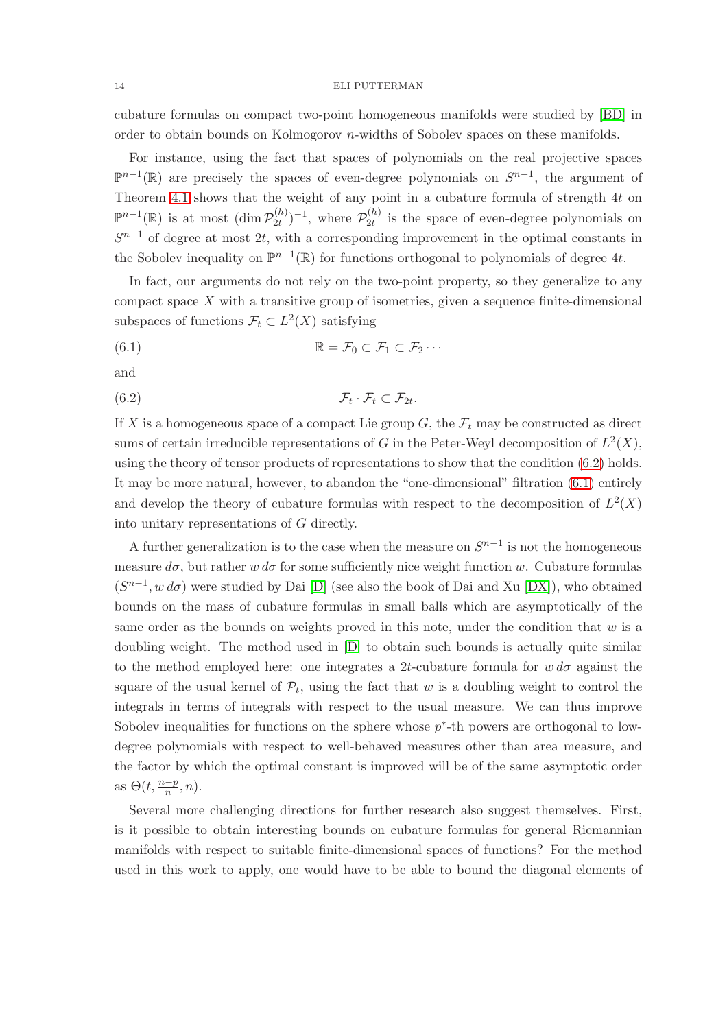cubature formulas on compact two-point homogeneous manifolds were studied by [\[BD\]](#page-16-13) in order to obtain bounds on Kolmogorov n-widths of Sobolev spaces on these manifolds.

For instance, using the fact that spaces of polynomials on the real projective spaces  $\mathbb{P}^{n-1}(\mathbb{R})$  are precisely the spaces of even-degree polynomials on  $S^{n-1}$ , the argument of Theorem [4.1](#page-9-0) shows that the weight of any point in a cubature formula of strength 4t on  $\mathbb{P}^{n-1}(\mathbb{R})$  is at most  $(\dim \mathcal{P}_{2t}^{(h)})$  $(2t^{(h)})^{-1}$ , where  $\mathcal{P}_{2t}^{(h)}$  $\mathcal{Q}_t^{(n)}$  is the space of even-degree polynomials on  $S^{n-1}$  of degree at most 2t, with a corresponding improvement in the optimal constants in the Sobolev inequality on  $\mathbb{P}^{n-1}(\mathbb{R})$  for functions orthogonal to polynomials of degree 4t.

In fact, our arguments do not rely on the two-point property, so they generalize to any compact space  $X$  with a transitive group of isometries, given a sequence finite-dimensional subspaces of functions  $\mathcal{F}_t \subset L^2(X)$  satisfying

<span id="page-13-1"></span>(6.1) 
$$
\mathbb{R} = \mathcal{F}_0 \subset \mathcal{F}_1 \subset \mathcal{F}_2 \cdots
$$

and

<span id="page-13-0"></span> $(6.2)$   $\mathcal{F}_t$  $\cdot$   $\mathcal{F}_t \subset \mathcal{F}_{2t}$ .

If X is a homogeneous space of a compact Lie group  $G$ , the  $\mathcal{F}_t$  may be constructed as direct sums of certain irreducible representations of G in the Peter-Weyl decomposition of  $L^2(X)$ , using the theory of tensor products of representations to show that the condition [\(6.2\)](#page-13-0) holds. It may be more natural, however, to abandon the "one-dimensional" filtration [\(6.1\)](#page-13-1) entirely and develop the theory of cubature formulas with respect to the decomposition of  $L^2(X)$ into unitary representations of G directly.

A further generalization is to the case when the measure on  $S^{n-1}$  is not the homogeneous measure  $d\sigma$ , but rather w  $d\sigma$  for some sufficiently nice weight function w. Cubature formulas  $(S^{n-1}, w \, d\sigma)$  were studied by Dai [\[D\]](#page-16-14) (see also the book of Dai and Xu [\[DX\]](#page-16-15)), who obtained bounds on the mass of cubature formulas in small balls which are asymptotically of the same order as the bounds on weights proved in this note, under the condition that  $w$  is a doubling weight. The method used in [\[D\]](#page-16-14) to obtain such bounds is actually quite similar to the method employed here: one integrates a 2t-cubature formula for  $w d\sigma$  against the square of the usual kernel of  $\mathcal{P}_t$ , using the fact that w is a doubling weight to control the integrals in terms of integrals with respect to the usual measure. We can thus improve Sobolev inequalities for functions on the sphere whose  $p^*$ -th powers are orthogonal to lowdegree polynomials with respect to well-behaved measures other than area measure, and the factor by which the optimal constant is improved will be of the same asymptotic order as  $\Theta(t, \frac{n-p}{n}, n)$ .

Several more challenging directions for further research also suggest themselves. First, is it possible to obtain interesting bounds on cubature formulas for general Riemannian manifolds with respect to suitable finite-dimensional spaces of functions? For the method used in this work to apply, one would have to be able to bound the diagonal elements of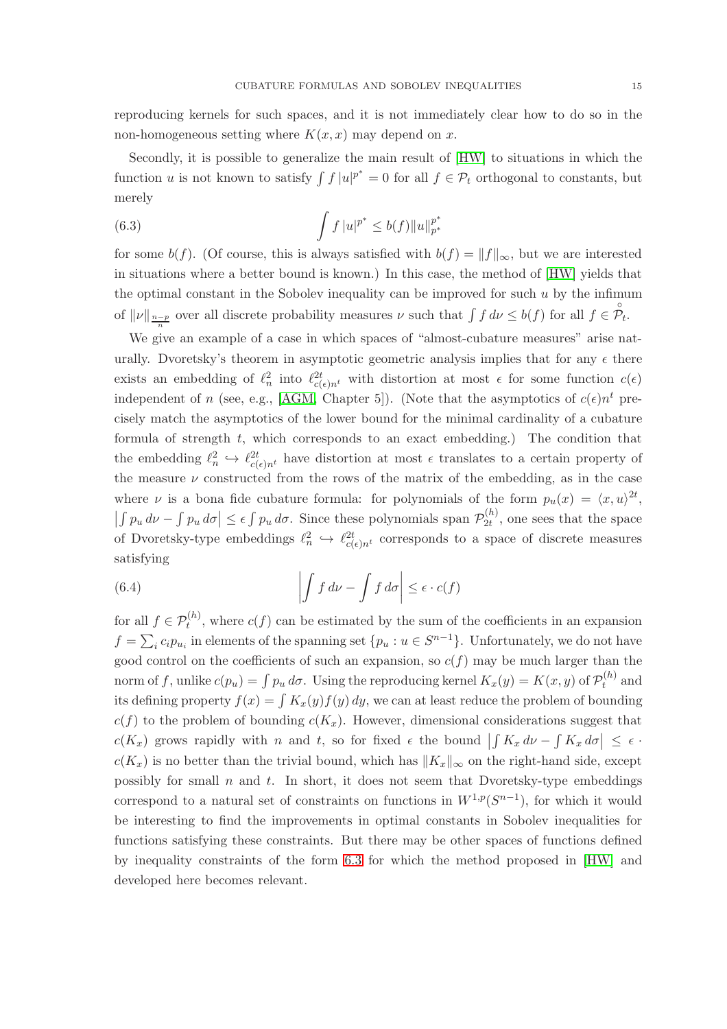reproducing kernels for such spaces, and it is not immediately clear how to do so in the non-homogeneous setting where  $K(x, x)$  may depend on x.

Secondly, it is possible to generalize the main result of [\[HW\]](#page-16-1) to situations in which the function u is not known to satisfy  $\int f |u|^{p^*} = 0$  for all  $f \in \mathcal{P}_t$  orthogonal to constants, but merely

<span id="page-14-0"></span>(6.3) 
$$
\int f |u|^{p^*} \leq b(f) ||u||_{p^*}^{p^*}
$$

for some  $b(f)$ . (Of course, this is always satisfied with  $b(f) = ||f||_{\infty}$ , but we are interested in situations where a better bound is known.) In this case, the method of [\[HW\]](#page-16-1) yields that the optimal constant in the Sobolev inequality can be improved for such  $u$  by the infimum of  $||\nu||_{\frac{n-p}{n}}$  over all discrete probability measures  $\nu$  such that  $\int f d\nu \leq b(f)$  for all  $f \in \mathcal{P}_t$ .

We give an example of a case in which spaces of "almost-cubature measures" arise naturally. Dvoretsky's theorem in asymptotic geometric analysis implies that for any  $\epsilon$  there exists an embedding of  $\ell_n^2$  into  $\ell_{c(\epsilon)n^t}^{2t}$  with distortion at most  $\epsilon$  for some function  $c(\epsilon)$ independent of n (see, e.g., [\[AGM,](#page-16-16) Chapter 5]). (Note that the asymptotics of  $c(\epsilon)n^t$  precisely match the asymptotics of the lower bound for the minimal cardinality of a cubature formula of strength  $t$ , which corresponds to an exact embedding.) The condition that the embedding  $\ell_n^2 \hookrightarrow \ell_{c(\epsilon)n^t}^{2t}$  have distortion at most  $\epsilon$  translates to a certain property of the measure  $\nu$  constructed from the rows of the matrix of the embedding, as in the case where  $\nu$  is a bona fide cubature formula: for polynomials of the form  $p_u(x) = \langle x, u \rangle^{2t}$ ,  $\left| \int p_u d\nu - \int p_u d\sigma \right| \leq \epsilon \int p_u d\sigma$ . Since these polynomials span  $\mathcal{P}_{2t}^{(h)}$  $\mathcal{Q}_t^{(n)}$ , one sees that the space of Dvoretsky-type embeddings  $\ell_n^2 \hookrightarrow \ell_{c(\epsilon)n^t}^{2t}$  corresponds to a space of discrete measures satisfying

(6.4) 
$$
\left| \int f \, d\nu - \int f \, d\sigma \right| \leq \epsilon \cdot c(f)
$$

for all  $f \in \mathcal{P}_t^{(h)}$ , where  $c(f)$  can be estimated by the sum of the coefficients in an expansion  $f = \sum_i c_i p_{u_i}$  in elements of the spanning set  $\{p_u : u \in S^{n-1}\}\$ . Unfortunately, we do not have good control on the coefficients of such an expansion, so  $c(f)$  may be much larger than the norm of  $f,$  unlike  $c(p_u) = \int p_u \, d\sigma.$  Using the reproducing kernel  $K_x(y) = K(x,y)$  of  $\mathcal{P}_t^{(h)}$  $t^{(h)}$  and its defining property  $f(x) = \int K_x(y) f(y) dy$ , we can at least reduce the problem of bounding  $c(f)$  to the problem of bounding  $c(K_x)$ . However, dimensional considerations suggest that  $c(K_x)$  grows rapidly with n and t, so for fixed  $\epsilon$  the bound  $\left| \int K_x d\nu - \int K_x d\sigma \right| \leq \epsilon$ .  $c(K_x)$  is no better than the trivial bound, which has  $||K_x||_{\infty}$  on the right-hand side, except possibly for small  $n$  and  $t$ . In short, it does not seem that Dvoretsky-type embeddings correspond to a natural set of constraints on functions in  $W^{1,p}(S^{n-1})$ , for which it would be interesting to find the improvements in optimal constants in Sobolev inequalities for functions satisfying these constraints. But there may be other spaces of functions defined by inequality constraints of the form [6.3](#page-14-0) for which the method proposed in [\[HW\]](#page-16-1) and developed here becomes relevant.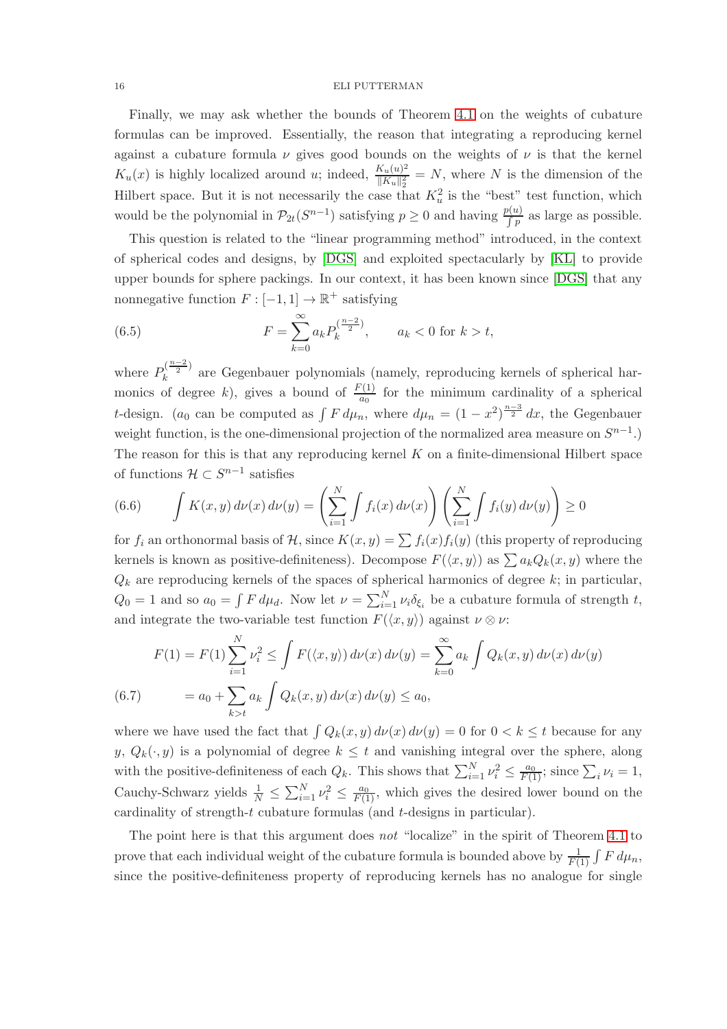Finally, we may ask whether the bounds of Theorem [4.1](#page-9-0) on the weights of cubature formulas can be improved. Essentially, the reason that integrating a reproducing kernel against a cubature formula  $\nu$  gives good bounds on the weights of  $\nu$  is that the kernel  $K_u(x)$  is highly localized around u; indeed,  $\frac{K_u(u)^2}{\|K_u\|^2}$  $\frac{K_u(u)^2}{\|K_u\|_2^2} = N$ , where N is the dimension of the Hilbert space. But it is not necessarily the case that  $K_u^2$  is the "best" test function, which would be the polynomial in  $\mathcal{P}_{2t}(S^{n-1})$  satisfying  $p \geq 0$  and having  $\frac{p(u)}{p}$  as large as possible.

This question is related to the "linear programming method" introduced, in the context of spherical codes and designs, by [\[DGS\]](#page-16-8) and exploited spectacularly by [\[KL\]](#page-17-5) to provide upper bounds for sphere packings. In our context, it has been known since [\[DGS\]](#page-16-8) that any nonnegative function  $F: [-1,1] \to \mathbb{R}^+$  satisfying

<span id="page-15-0"></span>(6.5) 
$$
F = \sum_{k=0}^{\infty} a_k P_k^{\left(\frac{n-2}{2}\right)}, \qquad a_k < 0 \text{ for } k > t,
$$

where  $P_k^{\left(\frac{n-2}{2}\right)}$  $\kappa_k^2$ <sup>2</sup> are Gegenbauer polynomials (namely, reproducing kernels of spherical harmonics of degree k), gives a bound of  $\frac{F(1)}{a_0}$  for the minimum cardinality of a spherical t-design. (a<sub>0</sub> can be computed as  $\int F d\mu_n$ , where  $d\mu_n = (1 - x^2)^{\frac{n-3}{2}} dx$ , the Gegenbauer weight function, is the one-dimensional projection of the normalized area measure on  $S^{n-1}$ .) The reason for this is that any reproducing kernel  $K$  on a finite-dimensional Hilbert space of functions  $\mathcal{H} \subset S^{n-1}$  satisfies

(6.6) 
$$
\int K(x,y) d\nu(x) d\nu(y) = \left(\sum_{i=1}^N \int f_i(x) d\nu(x)\right) \left(\sum_{i=1}^N \int f_i(y) d\nu(y)\right) \ge 0
$$

for  $f_i$  an orthonormal basis of H, since  $K(x, y) = \sum f_i(x) f_i(y)$  (this property of reproducing kernels is known as positive-definiteness). Decompose  $F(\langle x, y \rangle)$  as  $\sum a_k Q_k(x, y)$  where the  $Q_k$  are reproducing kernels of the spaces of spherical harmonics of degree  $k$ ; in particular,  $Q_0 = 1$  and so  $a_0 = \int F d\mu_d$ . Now let  $\nu = \sum_{i=1}^N \nu_i \delta_{\xi_i}$  be a cubature formula of strength t, and integrate the two-variable test function  $F(\langle x, y \rangle)$  against  $\nu \otimes \nu$ :

$$
F(1) = F(1) \sum_{i=1}^{N} \nu_i^2 \le \int F(\langle x, y \rangle) d\nu(x) d\nu(y) = \sum_{k=0}^{\infty} a_k \int Q_k(x, y) d\nu(x) d\nu(y)
$$
  
(6.7) 
$$
= a_0 + \sum_{k>t} a_k \int Q_k(x, y) d\nu(x) d\nu(y) \le a_0,
$$

where we have used the fact that  $\int Q_k(x, y) d\nu(x) d\nu(y) = 0$  for  $0 < k \leq t$  because for any y,  $Q_k(\cdot, y)$  is a polynomial of degree  $k \leq t$  and vanishing integral over the sphere, along with the positive-definiteness of each  $Q_k$ . This shows that  $\sum_{i=1}^{N} \nu_i^2 \leq \frac{a_0}{F(1)}$ ; since  $\sum_i \nu_i = 1$ , Cauchy-Schwarz yields  $\frac{1}{N} \leq \sum_{i=1}^{N} \nu_i^2 \leq \frac{a_0}{F(1)}$ , which gives the desired lower bound on the cardinality of strength-t cubature formulas (and t-designs in particular).

The point here is that this argument does *not* "localize" in the spirit of Theorem [4.1](#page-9-0) to prove that each individual weight of the cubature formula is bounded above by  $\frac{1}{F(1)} \int F d\mu_n$ , since the positive-definiteness property of reproducing kernels has no analogue for single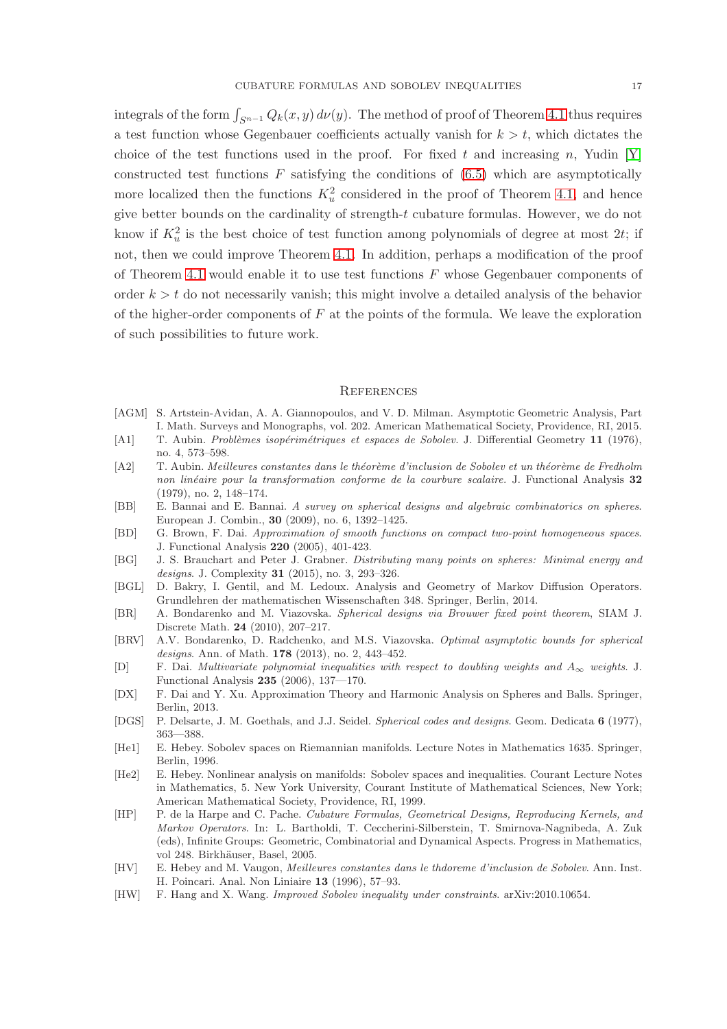integrals of the form  $\int_{S^{n-1}} Q_k(x, y) d\nu(y)$ . The method of proof of Theorem [4.1](#page-9-0) thus requires a test function whose Gegenbauer coefficients actually vanish for  $k > t$ , which dictates the choice of the test functions used in the proof. For fixed t and increasing n, Yudin  $[Y]$ constructed test functions  $F$  satisfying the conditions of  $(6.5)$  which are asymptotically more localized then the functions  $K_u^2$  considered in the proof of Theorem [4.1,](#page-9-0) and hence give better bounds on the cardinality of strength-t cubature formulas. However, we do not know if  $K_u^2$  is the best choice of test function among polynomials of degree at most 2t; if not, then we could improve Theorem [4.1.](#page-9-0) In addition, perhaps a modification of the proof of Theorem [4.1](#page-9-0) would enable it to use test functions  $F$  whose Gegenbauer components of order  $k > t$  do not necessarily vanish; this might involve a detailed analysis of the behavior of the higher-order components of  $F$  at the points of the formula. We leave the exploration of such possibilities to future work.

### **REFERENCES**

- <span id="page-16-16"></span>[AGM] S. Artstein-Avidan, A. A. Giannopoulos, and V. D. Milman. Asymptotic Geometric Analysis, Part I. Math. Surveys and Monographs, vol. 202. American Mathematical Society, Providence, RI, 2015.
- <span id="page-16-2"></span>[A1] T. Aubin. *Problèmes isopérimétriques et espaces de Sobolev.* J. Differential Geometry 11 (1976), no. 4, 573–598.
- <span id="page-16-7"></span>[A2] T. Aubin. *Meilleures constantes dans le théorème d'inclusion de Sobolev et un théorème de Fredholm non lin´eaire pour la transformation conforme de la courbure scalaire.* J. Functional Analysis 32 (1979), no. 2, 148–174.
- <span id="page-16-11"></span>[BB] E. Bannai and E. Bannai. *A survey on spherical designs and algebraic combinatorics on spheres*. European J. Combin., 30 (2009), no. 6, 1392–1425.
- <span id="page-16-13"></span>[BD] G. Brown, F. Dai. *Approximation of smooth functions on compact two-point homogeneous spaces*. J. Functional Analysis 220 (2005), 401-423.
- <span id="page-16-12"></span>[BG] J. S. Brauchart and Peter J. Grabner. *Distributing many points on spheres: Minimal energy and designs*. J. Complexity 31 (2015), no. 3, 293–326.
- <span id="page-16-4"></span>[BGL] D. Bakry, I. Gentil, and M. Ledoux. Analysis and Geometry of Markov Diffusion Operators. Grundlehren der mathematischen Wissenschaften 348. Springer, Berlin, 2014.
- <span id="page-16-9"></span>[BR] A. Bondarenko and M. Viazovska. *Spherical designs via Brouwer fixed point theorem*, SIAM J. Discrete Math. 24 (2010), 207–217.
- <span id="page-16-10"></span>[BRV] A.V. Bondarenko, D. Radchenko, and M.S. Viazovska. *Optimal asymptotic bounds for spherical designs*. Ann. of Math. 178 (2013), no. 2, 443–452.
- <span id="page-16-14"></span>[D] F. Dai. *Multivariate polynomial inequalities with respect to doubling weights and* A<sup>∞</sup> *weights*. J. Functional Analysis 235 (2006), 137—170.
- <span id="page-16-15"></span>[DX] F. Dai and Y. Xu. Approximation Theory and Harmonic Analysis on Spheres and Balls. Springer, Berlin, 2013.
- <span id="page-16-8"></span>[DGS] P. Delsarte, J. M. Goethals, and J.J. Seidel. *Spherical codes and designs*. Geom. Dedicata 6 (1977), 363—388.
- <span id="page-16-6"></span>[He1] E. Hebey. Sobolev spaces on Riemannian manifolds. Lecture Notes in Mathematics 1635. Springer, Berlin, 1996.
- <span id="page-16-3"></span>[He2] E. Hebey. Nonlinear analysis on manifolds: Sobolev spaces and inequalities. Courant Lecture Notes in Mathematics, 5. New York University, Courant Institute of Mathematical Sciences, New York; American Mathematical Society, Providence, RI, 1999.
- <span id="page-16-0"></span>[HP] P. de la Harpe and C. Pache. *Cubature Formulas, Geometrical Designs, Reproducing Kernels, and Markov Operators*. In: L. Bartholdi, T. Ceccherini-Silberstein, T. Smirnova-Nagnibeda, A. Zuk (eds), Infinite Groups: Geometric, Combinatorial and Dynamical Aspects. Progress in Mathematics, vol 248. Birkhäuser, Basel, 2005.
- <span id="page-16-5"></span>[HV] E. Hebey and M. Vaugon, *Meilleures constantes dans le thdoreme d'inclusion de Sobolev*. Ann. Inst. H. Poincari. Anal. Non Liniaire 13 (1996), 57–93.
- <span id="page-16-1"></span>[HW] F. Hang and X. Wang. *Improved Sobolev inequality under constraints*. arXiv:2010.10654.